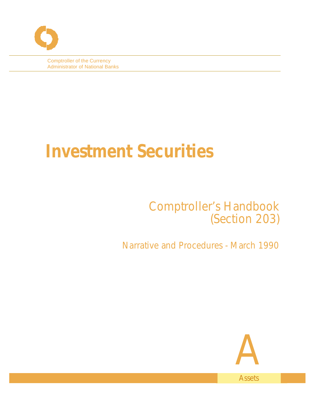Comptroller of the Currency Administrator of National Banks

# **Investment Securities**

# Comptroller's Handbook (Section 203)

Narrative and Procedures - March 1990

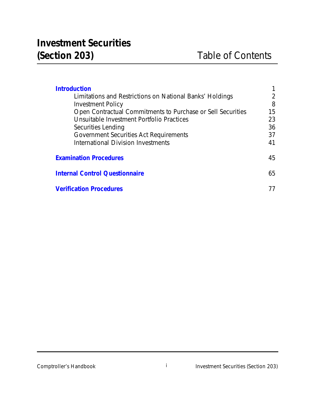| <b>Introduction</b>                                         |    |  |
|-------------------------------------------------------------|----|--|
| Limitations and Restrictions on National Banks' Holdings    | 2  |  |
| Investment Policy                                           | 8  |  |
| Open Contractual Commitments to Purchase or Sell Securities | 15 |  |
| Unsuitable Investment Portfolio Practices                   | 23 |  |
| Securities Lending                                          | 36 |  |
| Government Securities Act Requirements                      | 37 |  |
| International Division Investments                          | 41 |  |
|                                                             |    |  |
| <b>Examination Procedures</b>                               | 45 |  |
| <b>Internal Control Questionnaire</b>                       |    |  |
|                                                             | 65 |  |
| <b>Verification Procedures</b>                              |    |  |
|                                                             |    |  |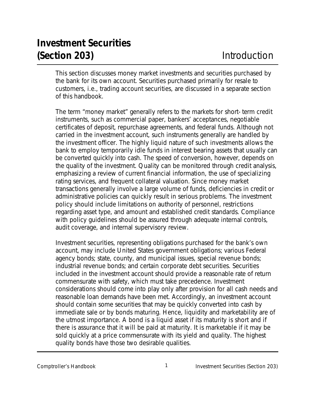<span id="page-2-0"></span>This section discusses money market investments and securities purchased by the bank for its own account. Securities purchased primarily for resale to customers, i.e., trading account securities, are discussed in a separate section of this handbook.

The term "money market" generally refers to the markets for short- term credit instruments, such as commercial paper, bankers' acceptances, negotiable certificates of deposit, repurchase agreements, and federal funds. Although not carried in the investment account, such instruments generally are handled by the investment officer. The highly liquid nature of such investments allows the bank to employ temporarily idle funds in interest bearing assets that usually can be converted quickly into cash. The speed of conversion, however, depends on the quality of the investment. Quality can be monitored through credit analysis, emphasizing a review of current financial information, the use of specializing rating services, and frequent collateral valuation. Since money market transactions generally involve a large volume of funds, deficiencies in credit or administrative policies can quickly result in serious problems. The investment policy should include limitations on authority of personnel, restrictions regarding asset type, and amount and established credit standards. Compliance with policy guidelines should be assured through adequate internal controls, audit coverage, and internal supervisory review.

Investment securities, representing obligations purchased for the bank's own account, may include United States government obligations; various Federal agency bonds; state, county, and municipal issues, special revenue bonds; industrial revenue bonds; and certain corporate debt securities. Securities included in the investment account should provide a reasonable rate of return commensurate with safety, which must take precedence. Investment considerations should come into play only after provision for all cash needs and reasonable loan demands have been met. Accordingly, an investment account should contain some securities that may be quickly converted into cash by immediate sale or by bonds maturing. Hence, liquidity and marketability are of the utmost importance. A bond is a liquid asset if its maturity is short and if there is assurance that it will be paid at maturity. It is marketable if it may be sold quickly at a price commensurate with its yield and quality. The highest quality bonds have those two desirable qualities.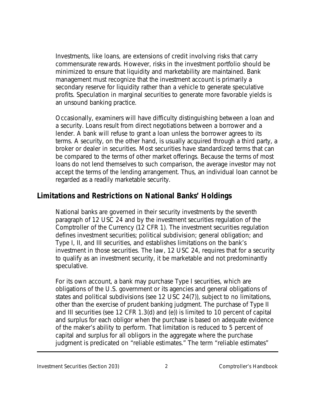Investments, like loans, are extensions of credit involving risks that carry commensurate rewards. However, risks in the investment portfolio should be minimized to ensure that liquidity and marketability are maintained. Bank management must recognize that the investment account is primarily a secondary reserve for liquidity rather than a vehicle to generate speculative profits. Speculation in marginal securities to generate more favorable yields is an unsound banking practice.

Occasionally, examiners will have difficulty distinguishing between a loan and a security. Loans result from direct negotiations between a borrower and a lender. A bank will refuse to grant a loan unless the borrower agrees to its terms. A security, on the other hand, is usually acquired through a third party, a broker or dealer in securities. Most securities have standardized terms that can be compared to the terms of other market offerings. Because the terms of most loans do not lend themselves to such comparison, the average investor may not accept the terms of the lending arrangement. Thus, an individual loan cannot be regarded as a readily marketable security.

#### **Limitations and Restrictions on National Banks' Holdings**

National banks are governed in their security investments by the seventh paragraph of 12 USC 24 and by the investment securities regulation of the Comptroller of the Currency (12 CFR 1). The investment securities regulation defines investment securities; political subdivision; general obligation; and Type I, II, and III securities, and establishes limitations on the bank's investment in those securities. The law, 12 USC 24, requires that for a security to qualify as an investment security, it be marketable and not predominantly speculative.

For its own account, a bank may purchase Type I securities, which are obligations of the U.S. government or its agencies and general obligations of states and political subdivisions (see 12 USC 24(7)), subject to no limitations, other than the exercise of prudent banking judgment. The purchase of Type II and III securities (see 12 CFR 1.3(d) and (e)) is limited to 10 percent of capital and surplus for each obligor when the purchase is based on adequate evidence of the maker's ability to perform. That limitation is reduced to 5 percent of capital and surplus for all obligors in the aggregate where the purchase judgment is predicated on "reliable estimates." The term "reliable estimates"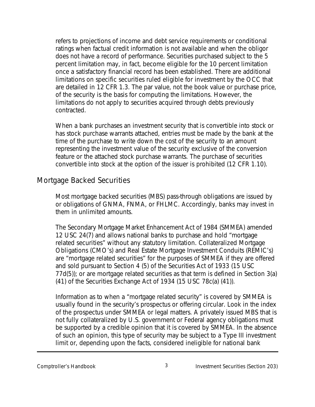refers to projections of income and debt service requirements or conditional ratings when factual credit information is not available and when the obligor does not have a record of performance. Securities purchased subject to the 5 percent limitation may, in fact, become eligible for the 10 percent limitation once a satisfactory financial record has been established. There are additional limitations on specific securities ruled eligible for investment by the OCC that are detailed in 12 CFR 1.3. The par value, not the book value or purchase price, of the security is the basis for computing the limitations. However, the limitations do not apply to securities acquired through debts previously contracted.

When a bank purchases an investment security that is convertible into stock or has stock purchase warrants attached, entries must be made by the bank at the time of the purchase to write down the cost of the security to an amount representing the investment value of the security exclusive of the conversion feature or the attached stock purchase warrants. The purchase of securities convertible into stock at the option of the issuer is prohibited (12 CFR 1.10).

#### Mortgage Backed Securities

Most mortgage backed securities (MBS) pass-through obligations are issued by or obligations of GNMA, FNMA, or FHLMC. Accordingly, banks may invest in them in unlimited amounts.

The Secondary Mortgage Market Enhancement Act of 1984 (SMMEA) amended 12 USC 24(7) and allows national banks to purchase and hold "mortgage related securities" without any statutory limitation. Collateralized Mortgage Obligations (CMO's) and Real Estate Mortgage Investment Conduits (REMIC's) are "mortgage related securities" for the purposes of SMMEA if they are offered and sold pursuant to Section 4 (5) of the Securities Act of 1933 (15 USC 77d(5)); or are mortgage related securities as that term is defined in Section 3(a) (41) of the Securities Exchange Act of 1934 (15 USC 78c(a) (41)).

Information as to when a "mortgage related security" is covered by SMMEA is usually found in the security's prospectus or offering circular. Look in the index of the prospectus under SMMEA or legal matters. A privately issued MBS that is not fully collateralized by U.S. government or Federal agency obligations must be supported by a credible opinion that it is covered by SMMEA. In the absence of such an opinion, this type of security may be subject to a Type III investment limit or, depending upon the facts, considered ineligible for national bank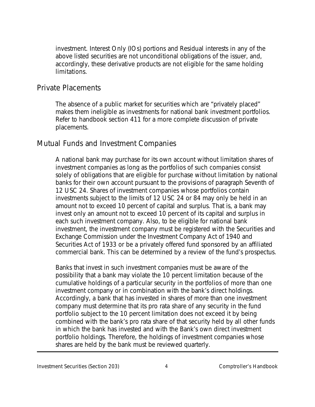investment. Interest Only (IOs) portions and Residual interests in any of the above listed securities are not unconditional obligations of the issuer, and, accordingly, these derivative products are not eligible for the same holding limitations.

#### Private Placements

The absence of a public market for securities which are "privately placed" makes them ineligible as investments for national bank investment portfolios. Refer to handbook section 411 for a more complete discussion of private placements.

#### Mutual Funds and Investment Companies

A national bank may purchase for its own account without limitation shares of investment companies as long as the portfolios of such companies consist solely of obligations that are eligible for purchase without limitation by national banks for their own account pursuant to the provisions of paragraph Seventh of 12 USC 24. Shares of investment companies whose portfolios contain investments subject to the limits of 12 USC 24 or 84 may only be held in an amount not to exceed 10 percent of capital and surplus. That is, a bank may invest only an amount not to exceed 10 percent of its capital and surplus in each such investment company. Also, to be eligible for national bank investment, the investment company must be registered with the Securities and Exchange Commission under the Investment Company Act of 1940 and Securities Act of 1933 or be a privately offered fund sponsored by an affiliated commercial bank. This can be determined by a review of the fund's prospectus.

Banks that invest in such investment companies must be aware of the possibility that a bank may violate the 10 percent limitation because of the cumulative holdings of a particular security in the portfolios of more than one investment company or in combination with the bank's direct holdings. Accordingly, a bank that has invested in shares of more than one investment company must determine that its pro rata share of any security in the fund portfolio subject to the 10 percent limitation does not exceed it by being combined with the bank's pro rata share of that security held by all other funds in which the bank has invested and with the Bank's own direct investment portfolio holdings. Therefore, the holdings of investment companies whose shares are held by the bank must be reviewed quarterly.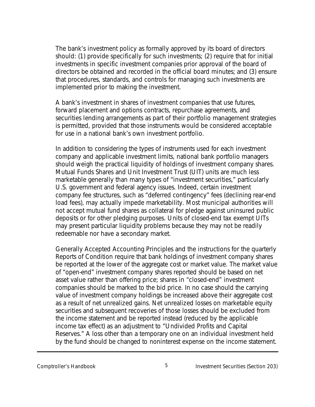The bank's investment policy as formally approved by its board of directors should: (1) provide specifically for such investments; (2) require that for initial investments in specific investment companies prior approval of the board of directors be obtained and recorded in the official board minutes; and (3) ensure that procedures, standards, and controls for managing such investments are implemented prior to making the investment.

A bank's investment in shares of investment companies that use futures, forward placement and options contracts, repurchase agreements, and securities lending arrangements as part of their portfolio management strategies is permitted, provided that those instruments would be considered acceptable for use in a national bank's own investment portfolio.

In addition to considering the types of instruments used for each investment company and applicable investment limits, national bank portfolio managers should weigh the practical liquidity of holdings of investment company shares. Mutual Funds Shares and Unit Investment Trust (UIT) units are much less marketable generally than many types of "investment securities," particularly U.S. government and federal agency issues. Indeed, certain investment company fee structures, such as "deferred contingency" fees (declining rear-end load fees), may actually impede marketability. Most municipal authorities will not accept mutual fund shares as collateral for pledge against uninsured public deposits or for other pledging purposes. Units of closed-end tax exempt UITs may present particular liquidity problems because they may not be readily redeemable nor have a secondary market.

Generally Accepted Accounting Principles and the instructions for the quarterly Reports of Condition require that bank holdings of investment company shares be reported at the lower of the aggregate cost or market value. The market value of "open-end" investment company shares reported should be based on net asset value rather than offering price; shares in "closed-end" investment companies should be marked to the bid price. In no case should the carrying value of investment company holdings be increased above their aggregate cost as a result of net unrealized gains. Net unrealized losses on marketable equity securities and subsequent recoveries of those losses should be excluded from the income statement and be reported instead (reduced by the applicable income tax effect) as an adjustment to "Undivided Profits and Capital Reserves." A loss other than a temporary one on an individual investment held by the fund should be changed to noninterest expense on the income statement.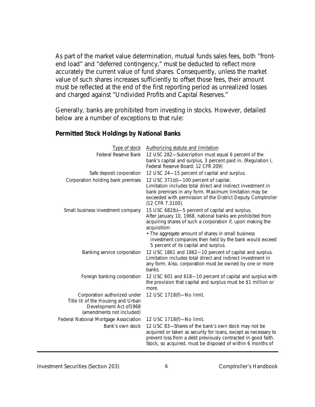As part of the market value determination, mutual funds sales fees, both "frontend load" and "deferred contingency," must be deducted to reflect more accurately the current value of fund shares. Consequently, unless the market value of such shares increases sufficiently to offset those fees, their amount must be reflected at the end of the first reporting period as unrealized losses and charged against "Undivided Profits and Capital Reserves."

Generally, banks are prohibited from investing in stocks. However, detailed below are a number of exceptions to that rule:

#### **Permitted Stock Holdings by National Banks**

| Type of stock                                                                                                             | Authorizing statute and limitation                                                                                                                                                                                                                    |
|---------------------------------------------------------------------------------------------------------------------------|-------------------------------------------------------------------------------------------------------------------------------------------------------------------------------------------------------------------------------------------------------|
| Federal Reserve Bank                                                                                                      | 12 USC 282-Subscription must equal 6 percent of the<br>bank's capital and surplus, 3 percent paid in. (Regulation I,<br>Federal Reserve Board; 12 CFR 209)                                                                                            |
| Safe deposit corporation                                                                                                  | 12 USC 24-15 percent of capital and surplus.                                                                                                                                                                                                          |
| Corporation holding bank premises                                                                                         | 12 USC 371(d)-100 percent of capital.<br>Limitation includes total direct and indirect investment in<br>bank premises in any form. Maximum limitation may be<br>exceeded with permission of the District Deputy Comptroller<br>(12 CFR 7.3100).       |
| Small business investment company                                                                                         | 15 USC 682(b)-5 percent of capital and surplus.<br>After January 10, 1968, national banks are prohibited from<br>acquiring shares of such a corporation if, upon making the<br>acquisition:<br>• The aggregate amount of shares in small business     |
|                                                                                                                           | investment companies then held by the bank would exceed<br>5 percent of its capital and surplus.                                                                                                                                                      |
| Banking service corporation                                                                                               | 12 USC 1861 and 1862-10 percent of capital and surplus.<br>Limitation includes total direct and indirect investment in<br>any form. Also, corporation must be owned by one or more<br>banks.                                                          |
| Foreign banking corporation                                                                                               | 12 USC 601 and 618-10 percent of capital and surplus with<br>the provision that capital and surplus must be \$1 million or<br>more.                                                                                                                   |
| Corporation authorized under<br>Title IX of the Housing and Urban<br>Development Act of 1968<br>(amendments not included) | 12 USC 1718(f)-No limit.                                                                                                                                                                                                                              |
| Federal National Mortgage Association                                                                                     | 12 USC 1718(f)-No limit.                                                                                                                                                                                                                              |
| Bank's own stock                                                                                                          | 12 USC 83-Shares of the bank's own stock may not be<br>acquired or taken as security for loans, except as necessary to<br>prevent loss from a debt previously contracted in good faith.<br>Stock, so acquired, must be disposed of within 6 months of |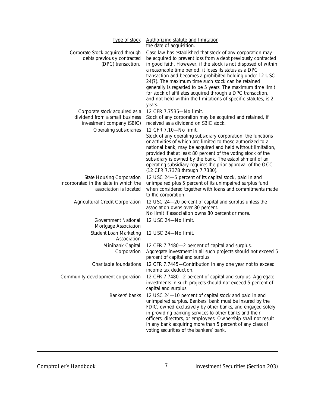| Type of stock                                                                                        | Authorizing statute and limitation<br>the date of acquisition.                                                                                                                                                                                                                                                                                                                                                                                                                                                                                                                       |
|------------------------------------------------------------------------------------------------------|--------------------------------------------------------------------------------------------------------------------------------------------------------------------------------------------------------------------------------------------------------------------------------------------------------------------------------------------------------------------------------------------------------------------------------------------------------------------------------------------------------------------------------------------------------------------------------------|
| Corporate Stock acquired through<br>debts previously contracted<br>(DPC) transaction.                | Case law has established that stock of any corporation may<br>be acquired to prevent loss from a debt previously contracted<br>in good faith. However, if the stock is not disposed of within<br>a reasonable time period, it loses its status as a DPC<br>transaction and becomes a prohibited holding under 12 USC<br>24(7). The maximum time such stock can be retained<br>generally is regarded to be 5 years. The maximum time limit<br>for stock of affiliates acquired through a DPC transaction,<br>and not held within the limitations of specific statutes, is 2<br>years. |
| Corporate stock acquired as a<br>dividend from a small business<br>investment company (SBIC)         | 12 CFR 7.7535-No limit.<br>Stock of any corporation may be acquired and retained, if<br>received as a dividend on SBIC stock.                                                                                                                                                                                                                                                                                                                                                                                                                                                        |
| Operating subsidiaries                                                                               | 12 CFR 7.10-No limit.<br>Stock of any operating subsidiary corporation, the functions<br>or activities of which are limited to those authorized to a<br>national bank, may be acquired and held without limitation,<br>provided that at least 80 percent of the voting stock of the<br>subsidiary is owned by the bank. The establishment of an<br>operating subsidiary requires the prior approval of the OCC<br>(12 CFR 7.7378 through 7.7380).                                                                                                                                    |
| <b>State Housing Corporation</b><br>incorporated in the state in which the<br>association is located | 12 USC 24-5 percent of its capital stock, paid in and<br>unimpaired plus 5 percent of its unimpaired surplus fund<br>when considered together with loans and commitments made<br>to the corporation.                                                                                                                                                                                                                                                                                                                                                                                 |
| Agricultural Credit Corporation                                                                      | 12 USC 24-20 percent of capital and surplus unless the<br>association owns over 80 percent.<br>No limit if association owns 80 percent or more.                                                                                                                                                                                                                                                                                                                                                                                                                                      |
| Government National<br>Mortgage Association                                                          | 12 USC 24-No limit.                                                                                                                                                                                                                                                                                                                                                                                                                                                                                                                                                                  |
| Student Loan Marketing<br>Association                                                                | 12 USC 24-No limit.                                                                                                                                                                                                                                                                                                                                                                                                                                                                                                                                                                  |
| Minibank Capital<br>Corporation                                                                      | 12 CFR 7.7480-2 percent of capital and surplus.<br>Aggregate investment in all such projects should not exceed 5<br>percent of capital and surplus.                                                                                                                                                                                                                                                                                                                                                                                                                                  |
| Charitable foundations                                                                               | 12 CFR 7.7445-Contribution in any one year not to exceed<br>income tax deduction.                                                                                                                                                                                                                                                                                                                                                                                                                                                                                                    |
| Community development corporation                                                                    | 12 CFR 7.7480-2 percent of capital and surplus. Aggregate<br>investments in such projects should not exceed 5 percent of<br>capital and surplus                                                                                                                                                                                                                                                                                                                                                                                                                                      |
| Bankers' banks                                                                                       | 12 USC 24-10 percent of capital stock and paid in and<br>unimpaired surplus. Bankers' bank must be insured by the<br>FDIC, owned exclusively by other banks, and engaged solely<br>in providing banking services to other banks and their<br>officers, directors, or employees. Ownership shall not result<br>in any bank acquiring more than 5 percent of any class of<br>voting securities of the bankers' bank.                                                                                                                                                                   |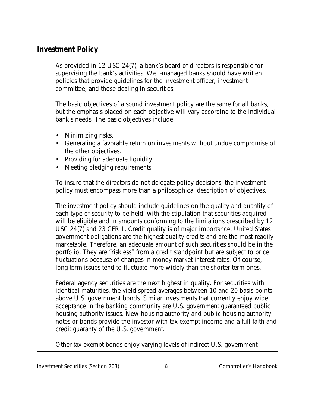#### **Investment Policy**

As provided in 12 USC 24(7), a bank's board of directors is responsible for supervising the bank's activities. Well-managed banks should have written policies that provide guidelines for the investment officer, investment committee, and those dealing in securities.

The basic objectives of a sound investment policy are the same for all banks, but the emphasis placed on each objective will vary according to the individual bank's needs. The basic objectives include:

- Minimizing risks.
- Generating a favorable return on investments without undue compromise of the other objectives.
- Providing for adequate liquidity.
- Meeting pledging requirements.

To insure that the directors do not delegate policy decisions, the investment policy must encompass more than a philosophical description of objectives.

The investment policy should include guidelines on the quality and quantity of each type of security to be held, with the stipulation that securities acquired will be eligible and in amounts conforming to the limitations prescribed by 12 USC 24(7) and 23 CFR 1. Credit quality is of major importance. United States government obligations are the highest quality credits and are the most readily marketable. Therefore, an adequate amount of such securities should be in the portfolio. They are "riskless" from a credit standpoint but are subject to price fluctuations because of changes in money market interest rates. Of course, long-term issues tend to fluctuate more widely than the shorter term ones.

Federal agency securities are the next highest in quality. For securities with identical maturities, the yield spread averages between 10 and 20 basis points above U.S. government bonds. Similar investments that currently enjoy wide acceptance in the banking community are U.S. government guaranteed public housing authority issues. New housing authority and public housing authority notes or bonds provide the investor with tax exempt income and a full faith and credit guaranty of the U.S. government.

Other tax exempt bonds enjoy varying levels of indirect U.S. government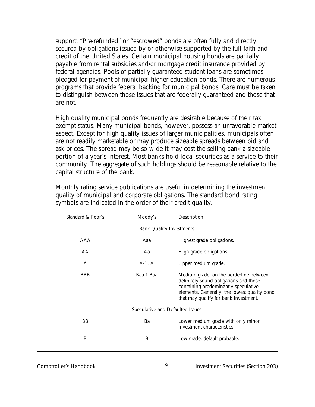support. "Pre-refunded" or "escrowed" bonds are often fully and directly secured by obligations issued by or otherwise supported by the full faith and credit of the United States. Certain municipal housing bonds are partially payable from rental subsidies and/or mortgage credit insurance provided by federal agencies. Pools of partially guaranteed student loans are sometimes pledged for payment of municipal higher education bonds. There are numerous programs that provide federal backing for municipal bonds. Care must be taken to distinguish between those issues that are federally guaranteed and those that are not.

High quality municipal bonds frequently are desirable because of their tax exempt status. Many municipal bonds, however, possess an unfavorable market aspect. Except for high quality issues of larger municipalities, municipals often are not readily marketable or may produce sizeable spreads between bid and ask prices. The spread may be so wide it may cost the selling bank a sizeable portion of a year's interest. Most banks hold local securities as a service to their community. The aggregate of such holdings should be reasonable relative to the capital structure of the bank.

Monthly rating service publications are useful in determining the investment quality of municipal and corporate obligations. The standard bond rating symbols are indicated in the order of their credit quality.

| Standard & Poor's                | Moody's    | Description                                                                                                                                                                                                        |  |  |
|----------------------------------|------------|--------------------------------------------------------------------------------------------------------------------------------------------------------------------------------------------------------------------|--|--|
| <b>Bank Quality Investments</b>  |            |                                                                                                                                                                                                                    |  |  |
| AAA                              | Aaa        | Highest grade obligations.                                                                                                                                                                                         |  |  |
| AA                               | Aa         | High grade obligations.                                                                                                                                                                                            |  |  |
| A                                | $A-1, A$   | Upper medium grade.                                                                                                                                                                                                |  |  |
| <b>BBB</b>                       | Baa-1, Baa | Medium grade, on the borderline between<br>definitely sound obligations and those<br>containing predominantly speculative<br>elements. Generally, the lowest quality bond<br>that may qualify for bank investment. |  |  |
| Speculative and Defaulted Issues |            |                                                                                                                                                                                                                    |  |  |
| BB                               | Ba         | Lower medium grade with only minor<br>investment characteristics.                                                                                                                                                  |  |  |
| B                                | Β          | Low grade, default probable.                                                                                                                                                                                       |  |  |

Comptroller's Handbook 9 Investment Securities (Section 203)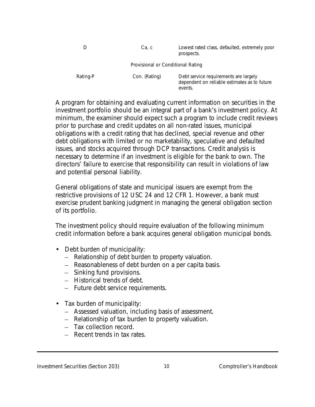|                                   | Ca, c         | Lowest rated class, defaulted, extremely poor<br>prospects.                                      |  |  |
|-----------------------------------|---------------|--------------------------------------------------------------------------------------------------|--|--|
| Provisional or Conditional Rating |               |                                                                                                  |  |  |
| Rating-P                          | Con. (Rating) | Debt service requirements are largely<br>dependent on reliable estimates as to future<br>events. |  |  |

A program for obtaining and evaluating current information on securities in the investment portfolio should be an integral part of a bank's investment policy. At minimum, the examiner should expect such a program to include credit reviews prior to purchase and credit updates on all non-rated issues, municipal obligations with a credit rating that has declined, special revenue and other debt obligations with limited or no marketability, speculative and defaulted issues, and stocks acquired through DCP transactions. Credit analysis is necessary to determine if an investment is eligible for the bank to own. The directors' failure to exercise that responsibility can result in violations of law and potential personal liability.

General obligations of state and municipal issuers are exempt from the restrictive provisions of 12 USC 24 and 12 CFR 1. However, a bank must exercise prudent banking judgment in managing the general obligation section of its portfolio.

The investment policy should require evaluation of the following minimum credit information before a bank acquires general obligation municipal bonds.

- Debt burden of municipality:
	- Relationship of debt burden to property valuation.
	- Reasonableness of debt burden on a per capita basis.
	- Sinking fund provisions.
	- Historical trends of debt.
	- Future debt service requirements.
- Tax burden of municipality:
	- Assessed valuation, including basis of assessment.
	- Relationship of tax burden to property valuation.
	- Tax collection record.
	- Recent trends in tax rates.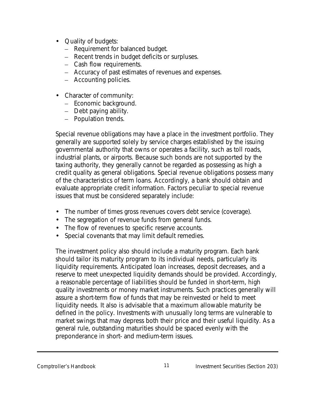- Quality of budgets:
	- Requirement for balanced budget.
	- Recent trends in budget deficits or surpluses.
	- Cash flow requirements.
	- Accuracy of past estimates of revenues and expenses.
	- Accounting policies.
- Character of community:
	- Economic background.
	- Debt paying ability.
	- Population trends.

Special revenue obligations may have a place in the investment portfolio. They generally are supported solely by service charges established by the issuing governmental authority that owns or operates a facility, such as toll roads, industrial plants, or airports. Because such bonds are not supported by the taxing authority, they generally cannot be regarded as possessing as high a credit quality as general obligations. Special revenue obligations possess many of the characteristics of term loans. Accordingly, a bank should obtain and evaluate appropriate credit information. Factors peculiar to special revenue issues that must be considered separately include:

- The number of times gross revenues covers debt service (coverage).
- The segregation of revenue funds from general funds.
- The flow of revenues to specific reserve accounts.
- Special covenants that may limit default remedies.

The investment policy also should include a maturity program. Each bank should tailor its maturity program to its individual needs, particularly its liquidity requirements. Anticipated loan increases, deposit decreases, and a reserve to meet unexpected liquidity demands should be provided. Accordingly, a reasonable percentage of liabilities should be funded in short-term, high quality investments or money market instruments. Such practices generally will assure a short-term flow of funds that may be reinvested or held to meet liquidity needs. It also is advisable that a maximum allowable maturity be defined in the policy. Investments with unusually long terms are vulnerable to market swings that may depress both their price and their useful liquidity. As a general rule, outstanding maturities should be spaced evenly with the preponderance in short- and medium-term issues.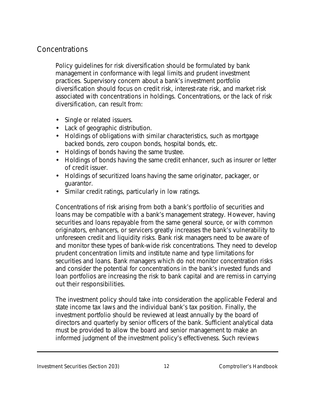# Concentrations

Policy guidelines for risk diversification should be formulated by bank management in conformance with legal limits and prudent investment practices. Supervisory concern about a bank's investment portfolio diversification should focus on credit risk, interest-rate risk, and market risk associated with concentrations in holdings. Concentrations, or the lack of risk diversification, can result from:

- Single or related issuers.
- Lack of geographic distribution.
- Holdings of obligations with similar characteristics, such as mortgage backed bonds, zero coupon bonds, hospital bonds, etc.
- Holdings of bonds having the same trustee.
- Holdings of bonds having the same credit enhancer, such as insurer or letter of credit issuer.
- Holdings of securitized loans having the same originator, packager, or guarantor.
- Similar credit ratings, particularly in low ratings.

Concentrations of risk arising from both a bank's portfolio of securities and loans may be compatible with a bank's management strategy. However, having securities and loans repayable from the same general source, or with common originators, enhancers, or servicers greatly increases the bank's vulnerability to unforeseen credit and liquidity risks. Bank risk managers need to be aware of and monitor these types of bank-wide risk concentrations. They need to develop prudent concentration limits and institute name and type limitations for securities and loans. Bank managers which do not monitor concentration risks and consider the potential for concentrations in the bank's invested funds and loan portfolios are increasing the risk to bank capital and are remiss in carrying out their responsibilities.

The investment policy should take into consideration the applicable Federal and state income tax laws and the individual bank's tax position. Finally, the investment portfolio should be reviewed at least annually by the board of directors and quarterly by senior officers of the bank. Sufficient analytical data must be provided to allow the board and senior management to make an informed judgment of the investment policy's effectiveness. Such reviews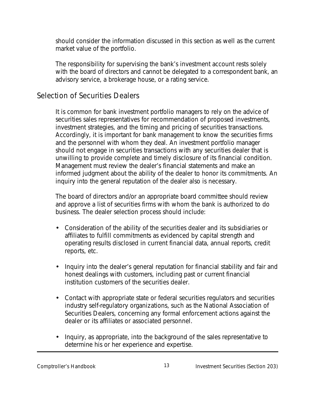should consider the information discussed in this section as well as the current market value of the portfolio.

The responsibility for supervising the bank's investment account rests solely with the board of directors and cannot be delegated to a correspondent bank, an advisory service, a brokerage house, or a rating service.

#### Selection of Securities Dealers

It is common for bank investment portfolio managers to rely on the advice of securities sales representatives for recommendation of proposed investments, investment strategies, and the timing and pricing of securities transactions. Accordingly, it is important for bank management to know the securities firms and the personnel with whom they deal. An investment portfolio manager should not engage in securities transactions with any securities dealer that is unwilling to provide complete and timely disclosure of its financial condition. Management must review the dealer's financial statements and make an informed judgment about the ability of the dealer to honor its commitments. An inquiry into the general reputation of the dealer also is necessary.

The board of directors and/or an appropriate board committee should review and approve a list of securities firms with whom the bank is authorized to do business. The dealer selection process should include:

- Consideration of the ability of the securities dealer and its subsidiaries or affiliates to fulfill commitments as evidenced by capital strength and operating results disclosed in current financial data, annual reports, credit reports, etc.
- Inquiry into the dealer's general reputation for financial stability and fair and honest dealings with customers, including past or current financial institution customers of the securities dealer.
- Contact with appropriate state or federal securities regulators and securities industry self-regulatory organizations, such as the National Association of Securities Dealers, concerning any formal enforcement actions against the dealer or its affiliates or associated personnel.
- Inquiry, as appropriate, into the background of the sales representative to determine his or her experience and expertise.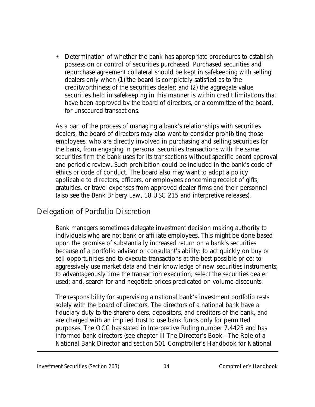• Determination of whether the bank has appropriate procedures to establish possession or control of securities purchased. Purchased securities and repurchase agreement collateral should be kept in safekeeping with selling dealers only when (1) the board is completely satisfied as to the creditworthiness of the securities dealer; and (2) the aggregate value securities held in safekeeping in this manner is within credit limitations that have been approved by the board of directors, or a committee of the board, for unsecured transactions.

As a part of the process of managing a bank's relationships with securities dealers, the board of directors may also want to consider prohibiting those employees, who are directly involved in purchasing and selling securities for the bank, from engaging in personal securities transactions with the same securities firm the bank uses for its transactions without specific board approval and periodic review. Such prohibition could be included in the bank's code of ethics or code of conduct. The board also may want to adopt a policy applicable to directors, officers, or employees concerning receipt of gifts, gratuities, or travel expenses from approved dealer firms and their personnel (also see the Bank Bribery Law, 18 USC 215 and interpretive releases).

#### Delegation of Portfolio Discretion

Bank managers sometimes delegate investment decision making authority to individuals who are not bank or affiliate employees. This might be done based upon the promise of substantially increased return on a bank's securities because of a portfolio advisor or consultant's ability: to act quickly on buy or sell opportunities and to execute transactions at the best possible price; to aggressively use market data and their knowledge of new securities instruments; to advantageously time the transaction execution; select the securities dealer used; and, search for and negotiate prices predicated on volume discounts.

The responsibility for supervising a national bank's investment portfolio rests solely with the board of directors. The directors of a national bank have a fiduciary duty to the shareholders, depositors, and creditors of the bank, and are charged with an implied trust to use bank funds only for permitted purposes. The OCC has stated in Interpretive Ruling number 7.4425 and has informed bank directors (see chapter III *The Director's Book—The Role of a National Bank Director* and section 501 *Comptroller's Handbook for National*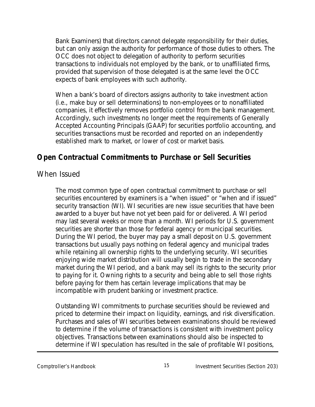*Bank Examiners*) that directors cannot delegate responsibility for their duties, but can only assign the authority for performance of those duties to others. The OCC does not object to delegation of authority to perform securities transactions to individuals not employed by the bank, or to unaffiliated firms, provided that supervision of those delegated is at the same level the OCC expects of bank employees with such authority.

When a bank's board of directors assigns authority to take investment action (i.e., make buy or sell determinations) to non-employees or to nonaffiliated companies, it effectively removes portfolio control from the bank management. Accordingly, such investments no longer meet the requirements of Generally Accepted Accounting Principals (GAAP) for securities portfolio accounting, and securities transactions must be recorded and reported on an independently established mark to market, or lower of cost or market basis.

# **Open Contractual Commitments to Purchase or Sell Securities**

#### When Issued

The most common type of open contractual commitment to purchase or sell securities encountered by examiners is a "when issued" or "when and if issued" security transaction (WI). WI securities are new issue securities that have been awarded to a buyer but have not yet been paid for or delivered. A WI period may last several weeks or more than a month. WI periods for U.S. government securities are shorter than those for federal agency or municipal securities. During the WI period, the buyer may pay a small deposit on U.S. government transactions but usually pays nothing on federal agency and municipal trades while retaining all ownership rights to the underlying security. WI securities enjoying wide market distribution will usually begin to trade in the secondary market during the WI period, and a bank may sell its rights to the security prior to paying for it. Owning rights to a security and being able to sell those rights before paying for them has certain leverage implications that may be incompatible with prudent banking or investment practice.

Outstanding WI commitments to purchase securities should be reviewed and priced to determine their impact on liquidity, earnings, and risk diversification. Purchases and sales of WI securities between examinations should be reviewed to determine if the volume of transactions is consistent with investment policy objectives. Transactions between examinations should also be inspected to determine if WI speculation has resulted in the sale of profitable WI positions,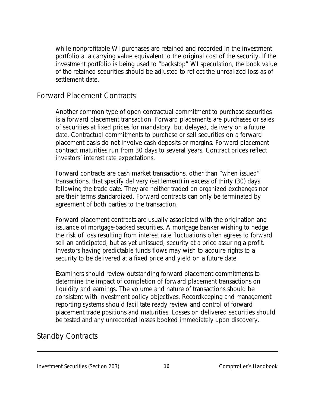while nonprofitable WI purchases are retained and recorded in the investment portfolio at a carrying value equivalent to the original cost of the security. If the investment portfolio is being used to "backstop" WI speculation, the book value of the retained securities should be adjusted to reflect the unrealized loss as of settlement date.

#### Forward Placement Contracts

Another common type of open contractual commitment to purchase securities is a forward placement transaction. Forward placements are purchases or sales of securities at fixed prices for mandatory, but delayed, delivery on a future date. Contractual commitments to purchase or sell securities on a forward placement basis do not involve cash deposits or margins. Forward placement contract maturities run from 30 days to several years. Contract prices reflect investors' interest rate expectations.

Forward contracts are cash market transactions, other than "when issued" transactions, that specify delivery (settlement) in excess of thirty (30) days following the trade date. They are neither traded on organized exchanges nor are their terms standardized. Forward contracts can only be terminated by agreement of both parties to the transaction.

Forward placement contracts are usually associated with the origination and issuance of mortgage-backed securities. A mortgage banker wishing to hedge the risk of loss resulting from interest rate fluctuations often agrees to forward sell an anticipated, but as yet unissued, security at a price assuring a profit. Investors having predictable funds flows may wish to acquire rights to a security to be delivered at a fixed price and yield on a future date.

Examiners should review outstanding forward placement commitments to determine the impact of completion of forward placement transactions on liquidity and earnings. The volume and nature of transactions should be consistent with investment policy objectives. Recordkeeping and management reporting systems should facilitate ready review and control of forward placement trade positions and maturities. Losses on delivered securities should be tested and any unrecorded losses booked immediately upon discovery.

#### Standby Contracts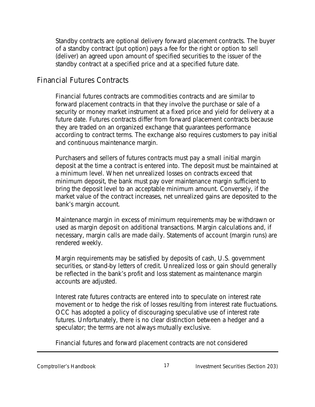Standby contracts are optional delivery forward placement contracts. The buyer of a standby contract (put option) pays a fee for the right or option to sell (deliver) an agreed upon amount of specified securities to the issuer of the standby contract at a specified price and at a specified future date.

#### Financial Futures Contracts

Financial futures contracts are commodities contracts and are similar to forward placement contracts in that they involve the purchase or sale of a security or money market instrument at a fixed price and yield for delivery at a future date. Futures contracts differ from forward placement contracts because they are traded on an organized exchange that guarantees performance according to contract terms. The exchange also requires customers to pay initial and continuous maintenance margin.

Purchasers and sellers of futures contracts must pay a small initial margin deposit at the time a contract is entered into. The deposit must be maintained at a minimum level. When net unrealized losses on contracts exceed that minimum deposit, the bank must pay over maintenance margin sufficient to bring the deposit level to an acceptable minimum amount. Conversely, if the market value of the contract increases, net unrealized gains are deposited to the bank's margin account.

Maintenance margin in excess of minimum requirements may be withdrawn or used as margin deposit on additional transactions. Margin calculations and, if necessary, margin calls are made daily. Statements of account (margin runs) are rendered weekly.

Margin requirements may be satisfied by deposits of cash, U.S. government securities, or stand-by letters of credit. Unrealized loss or gain should generally be reflected in the bank's profit and loss statement as maintenance margin accounts are adjusted.

Interest rate futures contracts are entered into to speculate on interest rate movement or to hedge the risk of losses resulting from interest rate fluctuations. OCC has adopted a policy of discouraging speculative use of interest rate futures. Unfortunately, there is no clear distinction between a hedger and a speculator; the terms are not always mutually exclusive.

Financial futures and forward placement contracts are not considered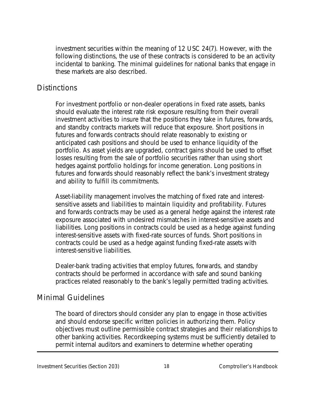investment securities within the meaning of 12 USC 24(7). However, with the following distinctions, the use of these contracts is considered to be an activity incidental to banking. The minimal guidelines for national banks that engage in these markets are also described.

#### **Distinctions**

For investment portfolio or non-dealer operations in fixed rate assets, banks should evaluate the interest rate risk exposure resulting from their overall investment activities to insure that the positions they take in futures, forwards, and standby contracts markets will reduce that exposure. Short positions in futures and forwards contracts should relate reasonably to existing or anticipated cash positions and should be used to enhance liquidity of the portfolio. As asset yields are upgraded, contract gains should be used to offset losses resulting from the sale of portfolio securities rather than using short hedges against portfolio holdings for income generation. Long positions in futures and forwards should reasonably reflect the bank's investment strategy and ability to fulfill its commitments.

Asset-liability management involves the matching of fixed rate and interestsensitive assets and liabilities to maintain liquidity and profitability. Futures and forwards contracts may be used as a general hedge against the interest rate exposure associated with undesired mismatches in interest-sensitive assets and liabilities. Long positions in contracts could be used as a hedge against funding interest-sensitive assets with fixed-rate sources of funds. Short positions in contracts could be used as a hedge against funding fixed-rate assets with interest-sensitive liabilities.

Dealer-bank trading activities that employ futures, forwards, and standby contracts should be performed in accordance with safe and sound banking practices related reasonably to the bank's legally permitted trading activities.

#### Minimal Guidelines

The board of directors should consider any plan to engage in those activities and should endorse specific written policies in authorizing them. Policy objectives must outline permissible contract strategies and their relationships to other banking activities. Recordkeeping systems must be sufficiently detailed to permit internal auditors and examiners to determine whether operating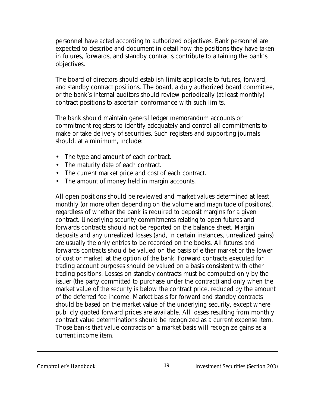personnel have acted according to authorized objectives. Bank personnel are expected to describe and document in detail how the positions they have taken in futures, forwards, and standby contracts contribute to attaining the bank's objectives.

The board of directors should establish limits applicable to futures, forward, and standby contract positions. The board, a duly authorized board committee, or the bank's internal auditors should review periodically (at least monthly) contract positions to ascertain conformance with such limits.

The bank should maintain general ledger memorandum accounts or commitment registers to identify adequately and control all commitments to make or take delivery of securities. Such registers and supporting journals should, at a minimum, include:

- The type and amount of each contract.
- The maturity date of each contract.
- The current market price and cost of each contract.
- The amount of money held in margin accounts.

All open positions should be reviewed and market values determined at least monthly (or more often depending on the volume and magnitude of positions), regardless of whether the bank is required to deposit margins for a given contract. Underlying security commitments relating to open futures and forwards contracts should not be reported on the balance sheet. Margin deposits and any unrealized losses (and, in certain instances, unrealized gains) are usually the only entries to be recorded on the books. All futures and forwards contracts should be valued on the basis of either market or the lower of cost or market, at the option of the bank. Forward contracts executed for trading account purposes should be valued on a basis consistent with other trading positions. Losses on standby contracts must be computed only by the issuer (the party committed to purchase under the contract) and only when the market value of the security is below the contract price, reduced by the amount of the deferred fee income. Market basis for forward and standby contracts should be based on the market value of the underlying security, except where publicly quoted forward prices are available. All losses resulting from monthly contract value determinations should be recognized as a current expense item. Those banks that value contracts on a market basis will recognize gains as a current income item.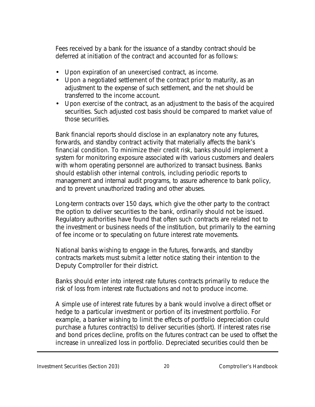Fees received by a bank for the issuance of a standby contract should be deferred at initiation of the contract and accounted for as follows:

- Upon expiration of an unexercised contract, as income.
- Upon a negotiated settlement of the contract prior to maturity, as an adjustment to the expense of such settlement, and the net should be transferred to the income account.
- Upon exercise of the contract, as an adjustment to the basis of the acquired securities. Such adjusted cost basis should be compared to market value of those securities.

Bank financial reports should disclose in an explanatory note any futures, forwards, and standby contract activity that materially affects the bank's financial condition. To minimize their credit risk, banks should implement a system for monitoring exposure associated with various customers and dealers with whom operating personnel are authorized to transact business. Banks should establish other internal controls, including periodic reports to management and internal audit programs, to assure adherence to bank policy, and to prevent unauthorized trading and other abuses.

Long-term contracts over 150 days, which give the other party to the contract the option to deliver securities to the bank, ordinarily should not be issued. Regulatory authorities have found that often such contracts are related not to the investment or business needs of the institution, but primarily to the earning of fee income or to speculating on future interest rate movements.

National banks wishing to engage in the futures, forwards, and standby contracts markets must submit a letter notice stating their intention to the Deputy Comptroller for their district.

Banks should enter into interest rate futures contracts primarily to reduce the risk of loss from interest rate fluctuations and not to produce income.

A simple use of interest rate futures by a bank would involve a direct offset or hedge to a particular investment or portion of its investment portfolio. For example, a banker wishing to limit the effects of portfolio depreciation could purchase a futures contract(s) to deliver securities (short). If interest rates rise and bond prices decline, profits on the futures contract can be used to offset the increase in unrealized loss in portfolio. Depreciated securities could then be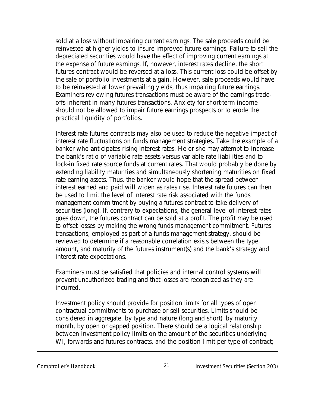sold at a loss without impairing current earnings. The sale proceeds could be reinvested at higher yields to insure improved future earnings. Failure to sell the depreciated securities would have the effect of improving current earnings at the expense of future earnings. If, however, interest rates decline, the short futures contract would be reversed at a loss. This current loss could be offset by the sale of portfolio investments at a gain. However, sale proceeds would have to be reinvested at lower prevailing yields, thus impairing future earnings. Examiners reviewing futures transactions must be aware of the earnings tradeoffs inherent in many futures transactions. Anxiety for short-term income should not be allowed to impair future earnings prospects or to erode the practical liquidity of portfolios.

Interest rate futures contracts may also be used to reduce the negative impact of interest rate fluctuations on funds management strategies. Take the example of a banker who anticipates rising interest rates. He or she may attempt to increase the bank's ratio of variable rate assets versus variable rate liabilities and to lock-in fixed rate source funds at current rates. That would probably be done by extending liability maturities and simultaneously shortening maturities on fixed rate earning assets. Thus, the banker would hope that the spread between interest earned and paid will widen as rates rise. Interest rate futures can then be used to limit the level of interest rate risk associated with the funds management commitment by buying a futures contract to take delivery of securities (long). If, contrary to expectations, the general level of interest rates goes down, the futures contract can be sold at a profit. The profit may be used to offset losses by making the wrong funds management commitment. Futures transactions, employed as part of a funds management strategy, should be reviewed to determine if a reasonable correlation exists between the type, amount, and maturity of the futures instrument(s) and the bank's strategy and interest rate expectations.

Examiners must be satisfied that policies and internal control systems will prevent unauthorized trading and that losses are recognized as they are incurred.

Investment policy should provide for position limits for all types of open contractual commitments to purchase or sell securities. Limits should be considered in aggregate, by type and nature (long and short), by maturity month, by open or gapped position. There should be a logical relationship between investment policy limits on the amount of the securities underlying WI, forwards and futures contracts, and the position limit per type of contract;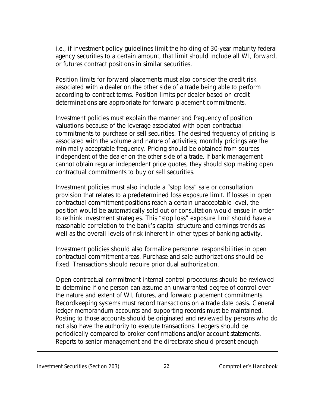i.e., if investment policy guidelines limit the holding of 30-year maturity federal agency securities to a certain amount, that limit should include all WI, forward, or futures contract positions in similar securities.

Position limits for forward placements must also consider the credit risk associated with a dealer on the other side of a trade being able to perform according to contract terms. Position limits per dealer based on credit determinations are appropriate for forward placement commitments.

Investment policies must explain the manner and frequency of position valuations because of the leverage associated with open contractual commitments to purchase or sell securities. The desired frequency of pricing is associated with the volume and nature of activities; monthly pricings are the minimally acceptable frequency. Pricing should be obtained from sources independent of the dealer on the other side of a trade. If bank management cannot obtain regular independent price quotes, they should stop making open contractual commitments to buy or sell securities.

Investment policies must also include a "stop loss" sale or consultation provision that relates to a predetermined loss exposure limit. If losses in open contractual commitment positions reach a certain unacceptable level, the position would be automatically sold out or consultation would ensue in order to rethink investment strategies. This "stop loss" exposure limit should have a reasonable correlation to the bank's capital structure and earnings trends as well as the overall levels of risk inherent in other types of banking activity.

Investment policies should also formalize personnel responsibilities in open contractual commitment areas. Purchase and sale authorizations should be fixed. Transactions should require prior dual authorization.

Open contractual commitment internal control procedures should be reviewed to determine if one person can assume an unwarranted degree of control over the nature and extent of WI, futures, and forward placement commitments. Recordkeeping systems must record transactions on a trade date basis. General ledger memorandum accounts and supporting records must be maintained. Posting to those accounts should be originated and reviewed by persons who do not also have the authority to execute transactions. Ledgers should be periodically compared to broker confirmations and/or account statements. Reports to senior management and the directorate should present enough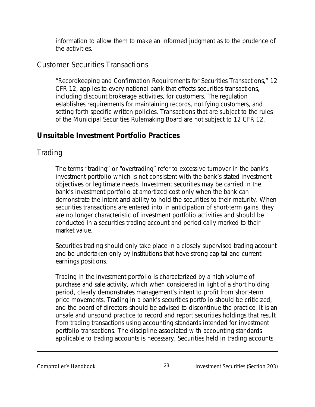information to allow them to make an informed judgment as to the prudence of the activities.

#### Customer Securities Transactions

"Recordkeeping and Confirmation Requirements for Securities Transactions," 12 CFR 12, applies to every national bank that effects securities transactions, including discount brokerage activities, for customers. The regulation establishes requirements for maintaining records, notifying customers, and setting forth specific written policies. Transactions that are subject to the rules of the Municipal Securities Rulemaking Board are not subject to 12 CFR 12.

# **Unsuitable Investment Portfolio Practices**

# Trading

The terms "trading" or "overtrading" refer to excessive turnover in the bank's investment portfolio which is not consistent with the bank's stated investment objectives or legitimate needs. Investment securities may be carried in the bank's investment portfolio at amortized cost only when the bank can demonstrate the intent and ability to hold the securities to their maturity. When securities transactions are entered into in anticipation of short-term gains, they are no longer characteristic of investment portfolio activities and should be conducted in a securities trading account and periodically marked to their market value.

Securities trading should only take place in a closely supervised trading account and be undertaken only by institutions that have strong capital and current earnings positions.

Trading in the investment portfolio is characterized by a high volume of purchase and sale activity, which when considered in light of a short holding period, clearly demonstrates management's intent to profit from short-term price movements. Trading in a bank's securities portfolio should be criticized, and the board of directors should be advised to discontinue the practice. It is an unsafe and unsound practice to record and report securities holdings that result from trading transactions using accounting standards intended for investment portfolio transactions. The discipline associated with accounting standards applicable to trading accounts is necessary. Securities held in trading accounts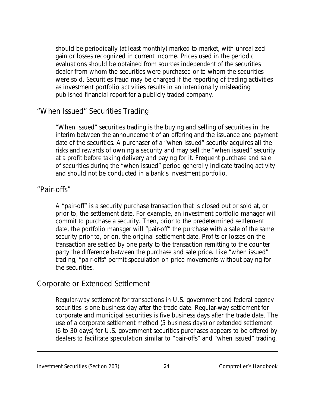should be periodically (at least monthly) marked to market, with unrealized gain or losses recognized in current income. Prices used in the periodic evaluations should be obtained from sources independent of the securities dealer from whom the securities were purchased or to whom the securities were sold. Securities fraud may be charged if the reporting of trading activities as investment portfolio activities results in an intentionally misleading published financial report for a publicly traded company.

#### "When Issued" Securities Trading

"When issued" securities trading is the buying and selling of securities in the interim between the announcement of an offering and the issuance and payment date of the securities. A purchaser of a "when issued" security acquires all the risks and rewards of owning a security and may sell the "when issued" security at a profit before taking delivery and paying for it. Frequent purchase and sale of securities during the "when issued" period generally indicate trading activity and should not be conducted in a bank's investment portfolio.

#### "Pair-offs"

A "pair-off" is a security purchase transaction that is closed out or sold at, or prior to, the settlement date. For example, an investment portfolio manager will commit to purchase a security. Then, prior to the predetermined settlement date, the portfolio manager will "pair-off" the purchase with a sale of the same security prior to, or on, the original settlement date. Profits or losses on the transaction are settled by one party to the transaction remitting to the counter party the difference between the purchase and sale price. Like "when issued" trading, "pair-offs" permit speculation on price movements without paying for the securities.

## Corporate or Extended Settlement

Regular-way settlement for transactions in U.S. government and federal agency securities is one business day after the trade date. Regular-way settlement for corporate and municipal securities is five business days after the trade date. The use of a corporate settlement method (5 business days) or extended settlement (6 to 30 days) for U.S. government securities purchases appears to be offered by dealers to facilitate speculation similar to "pair-offs" and "when issued" trading.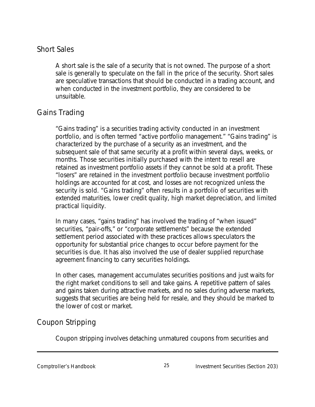#### Short Sales

A short sale is the sale of a security that is not owned. The purpose of a short sale is generally to speculate on the fall in the price of the security. Short sales are speculative transactions that should be conducted in a trading account, and when conducted in the investment portfolio, they are considered to be unsuitable.

## Gains Trading

"Gains trading" is a securities trading activity conducted in an investment portfolio, and is often termed "active portfolio management." "Gains trading" is characterized by the purchase of a security as an investment, and the subsequent sale of that same security at a profit within several days, weeks, or months. Those securities initially purchased with the intent to resell are retained as investment portfolio assets if they cannot be sold at a profit. These "losers" are retained in the investment portfolio because investment portfolio holdings are accounted for at cost, and losses are not recognized unless the security is sold. "Gains trading" often results in a portfolio of securities with extended maturities, lower credit quality, high market depreciation, and limited practical liquidity.

In many cases, "gains trading" has involved the trading of "when issued" securities, "pair-offs," or "corporate settlements" because the extended settlement period associated with these practices allows speculators the opportunity for substantial price changes to occur before payment for the securities is due. It has also involved the use of dealer supplied repurchase agreement financing to carry securities holdings.

In other cases, management accumulates securities positions and just waits for the right market conditions to sell and take gains. A repetitive pattern of sales and gains taken during attractive markets, and no sales during adverse markets, suggests that securities are being held for resale, and they should be marked to the lower of cost or market.

# Coupon Stripping

Coupon stripping involves detaching unmatured coupons from securities and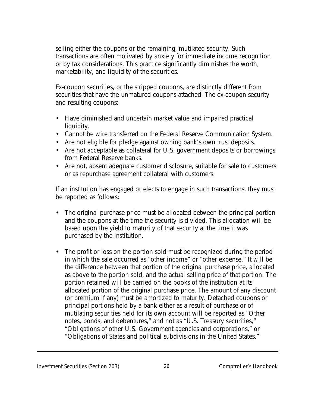selling either the coupons or the remaining, mutilated security. Such transactions are often motivated by anxiety for immediate income recognition or by tax considerations. This practice significantly diminishes the worth, marketability, and liquidity of the securities.

Ex-coupon securities, or the stripped coupons, are distinctly different from securities that have the unmatured coupons attached. The ex-coupon security and resulting coupons:

- Have diminished and uncertain market value and impaired practical liquidity.
- Cannot be wire transferred on the Federal Reserve Communication System.
- Are not eligible for pledge against owning bank's own trust deposits.
- Are not acceptable as collateral for U.S. government deposits or borrowings from Federal Reserve banks.
- Are not, absent adequate customer disclosure, suitable for sale to customers or as repurchase agreement collateral with customers.

If an institution has engaged or elects to engage in such transactions, they must be reported as follows:

- The original purchase price must be allocated between the principal portion and the coupons at the time the security is divided. This allocation will be based upon the yield to maturity of that security at the time it was purchased by the institution.
- The profit or loss on the portion sold must be recognized during the period in which the sale occurred as "other income" or "other expense." It will be the difference between that portion of the original purchase price, allocated as above to the portion sold, and the actual selling price of that portion. The portion retained will be carried on the books of the institution at its allocated portion of the original purchase price. The amount of any discount (or premium if any) must be amortized to maturity. Detached coupons or principal portions held by a bank either as a result of purchase or of mutilating securities held for its own account will be reported as "Other notes, bonds, and debentures," and not as "U.S. Treasury securities," "Obligations of other U.S. Government agencies and corporations," or "Obligations of States and political subdivisions in the United States."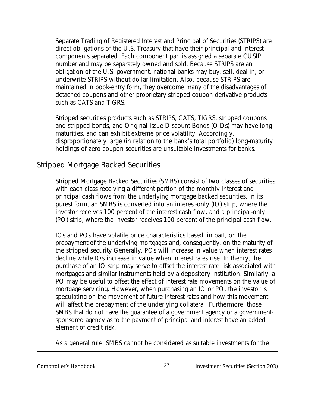Separate Trading of Registered Interest and Principal of Securities (STRIPS) are direct obligations of the U.S. Treasury that have their principal and interest components separated. Each component part is assigned a separate CUSIP number and may be separately owned and sold. Because STRIPS are an obligation of the U.S. government, national banks may buy, sell, deal-in, or underwrite STRIPS without dollar limitation. Also, because STRIPS are maintained in book-entry form, they overcome many of the disadvantages of detached coupons and other proprietary stripped coupon derivative products such as CATS and TIGRS.

Stripped securities products such as STRIPS, CATS, TIGRS, stripped coupons and stripped bonds, and Original Issue Discount Bonds (OIDs) may have long maturities, and can exhibit extreme price volatility. Accordingly, disproportionately large (in relation to the bank's total portfolio) long-maturity holdings of zero coupon securities are unsuitable investments for banks.

#### Stripped Mortgage Backed Securities

Stripped Mortgage Backed Securities (SMBS) consist of two classes of securities with each class receiving a different portion of the monthly interest and principal cash flows from the underlying mortgage backed securities. In its purest form, an SMBS is converted into an interest-only (IO) strip, where the investor receives 100 percent of the interest cash flow, and a principal-only (PO) strip, where the investor receives 100 percent of the principal cash flow.

IOs and POs have volatile price characteristics based, in part, on the prepayment of the underlying mortgages and, consequently, on the maturity of the stripped security Generally, POs will increase in value when interest rates decline while IOs increase in value when interest rates rise. In theory, the purchase of an IO strip may serve to offset the interest rate risk associated with mortgages and similar instruments held by a depository institution. Similarly, a PO may be useful to offset the effect of interest rate movements on the value of mortgage servicing. However, when purchasing an IO or PO, the investor is speculating on the movement of future interest rates and how this movement will affect the prepayment of the underlying collateral. Furthermore, those SMBS that do not have the guarantee of a government agency or a governmentsponsored agency as to the payment of principal and interest have an added element of credit risk.

As a general rule, SMBS cannot be considered as suitable investments for the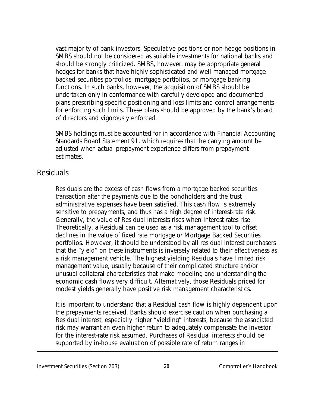vast majority of bank investors. Speculative positions or non-hedge positions in SMBS should not be considered as suitable investments for national banks and should be strongly criticized. SMBS, however, may be appropriate general hedges for banks that have highly sophisticated and well managed mortgage backed securities portfolios, mortgage portfolios, or mortgage banking functions. In such banks, however, the acquisition of SMBS should be undertaken only in conformance with carefully developed and documented plans prescribing specific positioning and loss limits and control arrangements for enforcing such limits. These plans should be approved by the bank's board of directors and vigorously enforced.

SMBS holdings must be accounted for in accordance with Financial Accounting Standards Board Statement 91, which requires that the carrying amount be adjusted when actual prepayment experience differs from prepayment estimates.

#### Residuals

Residuals are the excess of cash flows from a mortgage backed securities transaction after the payments due to the bondholders and the trust administrative expenses have been satisfied. This cash flow is extremely sensitive to prepayments, and thus has a high degree of interest-rate risk. Generally, the value of Residual interests rises when interest rates rise. Theoretically, a Residual can be used as a risk management tool to offset declines in the value of fixed rate mortgage or Mortgage Backed Securities portfolios. However, it should be understood by all residual interest purchasers that the "yield" on these instruments is inversely related to their effectiveness as a risk management vehicle. The highest yielding Residuals have limited risk management value, usually because of their complicated structure and/or unusual collateral characteristics that make modeling and understanding the economic cash flows very difficult. Alternatively, those Residuals priced for modest yields generally have positive risk management characteristics.

It is important to understand that a Residual cash flow is highly dependent upon the prepayments received. Banks should exercise caution when purchasing a Residual interest, especially higher "yielding" interests, because the associated risk may warrant an even higher return to adequately compensate the investor for the interest-rate risk assumed. Purchases of Residual interests should be supported by in-house evaluation of possible rate of return ranges in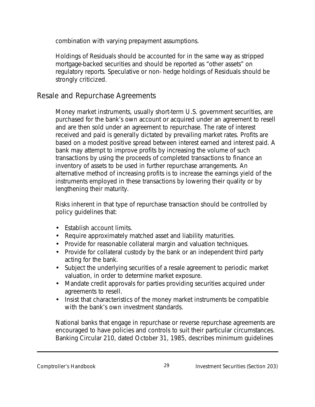combination with varying prepayment assumptions.

Holdings of Residuals should be accounted for in the same way as stripped mortgage-backed securities and should be reported as "other assets" on regulatory reports. Speculative or non- hedge holdings of Residuals should be strongly criticized.

#### Resale and Repurchase Agreements

Money market instruments, usually short-term U.S. government securities, are purchased for the bank's own account or acquired under an agreement to resell and are then sold under an agreement to repurchase. The rate of interest received and paid is generally dictated by prevailing market rates. Profits are based on a modest positive spread between interest earned and interest paid. A bank may attempt to improve profits by increasing the volume of such transactions by using the proceeds of completed transactions to finance an inventory of assets to be used in further repurchase arrangements. An alternative method of increasing profits is to increase the earnings yield of the instruments employed in these transactions by lowering their quality or by lengthening their maturity.

Risks inherent in that type of repurchase transaction should be controlled by policy guidelines that:

- Establish account limits.
- Require approximately matched asset and liability maturities.
- Provide for reasonable collateral margin and valuation techniques.
- Provide for collateral custody by the bank or an independent third party acting for the bank.
- Subject the underlying securities of a resale agreement to periodic market valuation, in order to determine market exposure.
- Mandate credit approvals for parties providing securities acquired under agreements to resell.
- Insist that characteristics of the money market instruments be compatible with the bank's own investment standards.

National banks that engage in repurchase or reverse repurchase agreements are encouraged to have policies and controls to suit their particular circumstances. Banking Circular 210, dated October 31, 1985, describes minimum guidelines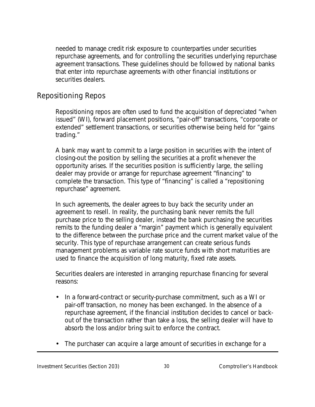needed to manage credit risk exposure to counterparties under securities repurchase agreements, and for controlling the securities underlying repurchase agreement transactions. These guidelines should be followed by national banks that enter into repurchase agreements with other financial institutions or securities dealers.

#### Repositioning Repos

Repositioning repos are often used to fund the acquisition of depreciated "when issued" (WI), forward placement positions, "pair-off" transactions, "corporate or extended" settlement transactions, or securities otherwise being held for "gains trading."

A bank may want to commit to a large position in securities with the intent of closing-out the position by selling the securities at a profit whenever the opportunity arises. If the securities position is sufficiently large, the selling dealer may provide or arrange for repurchase agreement "financing" to complete the transaction. This type of "financing" is called a "repositioning repurchase" agreement.

In such agreements, the dealer agrees to buy back the security under an agreement to resell. In reality, the purchasing bank never remits the full purchase price to the selling dealer, instead the bank purchasing the securities remits to the funding dealer a "margin" payment which is generally equivalent to the difference between the purchase price and the current market value of the security. This type of repurchase arrangement can create serious funds management problems as variable rate source funds with short maturities are used to finance the acquisition of long maturity, fixed rate assets.

Securities dealers are interested in arranging repurchase financing for several reasons:

- In a forward-contract or security-purchase commitment, such as a WI or pair-off transaction, no money has been exchanged. In the absence of a repurchase agreement, if the financial institution decides to cancel or backout of the transaction rather than take a loss, the selling dealer will have to absorb the loss and/or bring suit to enforce the contract.
- The purchaser can acquire a large amount of securities in exchange for a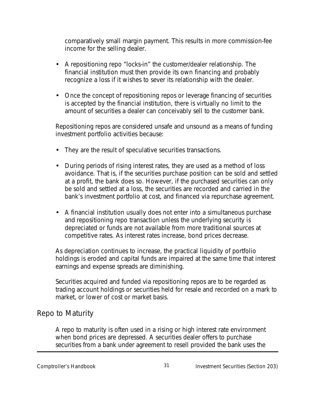comparatively small margin payment. This results in more commission-fee income for the selling dealer.

- A repositioning repo "locks-in" the customer/dealer relationship. The financial institution must then provide its own financing and probably recognize a loss if it wishes to sever its relationship with the dealer.
- Once the concept of repositioning repos or leverage financing of securities is accepted by the financial institution, there is virtually no limit to the amount of securities a dealer can conceivably sell to the customer bank.

Repositioning repos are considered unsafe and unsound as a means of funding investment portfolio activities because:

- They are the result of speculative securities transactions.
- During periods of rising interest rates, they are used as a method of loss avoidance. That is, if the securities purchase position can be sold and settled at a profit, the bank does so. However, if the purchased securities can only be sold and settled at a loss, the securities are recorded and carried in the bank's investment portfolio at cost, and financed via repurchase agreement.
- A financial institution usually does not enter into a simultaneous purchase and repositioning repo transaction unless the underlying security is depreciated or funds are not available from more traditional sources at competitive rates. As interest rates increase, bond prices decrease.

As depreciation continues to increase, the practical liquidity of portfolio holdings is eroded and capital funds are impaired at the same time that interest earnings and expense spreads are diminishing.

Securities acquired and funded via repositioning repos are to be regarded as trading account holdings or securities held for resale and recorded on a mark to market, or lower of cost or market basis.

## Repo to Maturity

A repo to maturity is often used in a rising or high interest rate environment when bond prices are depressed. A securities dealer offers to purchase securities from a bank under agreement to resell provided the bank uses the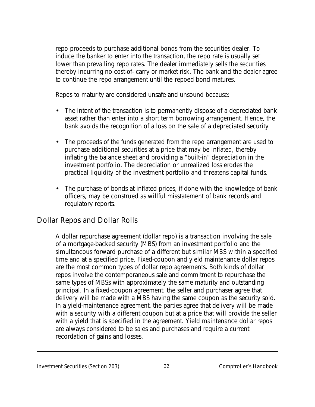repo proceeds to purchase additional bonds from the securities dealer. To induce the banker to enter into the transaction, the repo rate is usually set lower than prevailing repo rates. The dealer immediately sells the securities thereby incurring no cost-of- carry or market risk. The bank and the dealer agree to continue the repo arrangement until the repoed bond matures.

Repos to maturity are considered unsafe and unsound because:

- The intent of the transaction is to permanently dispose of a depreciated bank asset rather than enter into a short term borrowing arrangement. Hence, the bank avoids the recognition of a loss on the sale of a depreciated security
- The proceeds of the funds generated from the repo arrangement are used to purchase additional securities at a price that may be inflated, thereby inflating the balance sheet and providing a "built-in" depreciation in the investment portfolio. The depreciation or unrealized loss erodes the practical liquidity of the investment portfolio and threatens capital funds.
- The purchase of bonds at inflated prices, if done with the knowledge of bank officers, may be construed as willful misstatement of bank records and regulatory reports.

## Dollar Repos and Dollar Rolls

A dollar repurchase agreement (dollar repo) is a transaction involving the sale of a mortgage-backed security (MBS) from an investment portfolio and the simultaneous forward purchase of a different but similar MBS within a specified time and at a specified price. Fixed-coupon and yield maintenance dollar repos are the most common types of dollar repo agreements. Both kinds of dollar repos involve the contemporaneous sale and commitment to repurchase the same types of MBSs with approximately the same maturity and outstanding principal. In a fixed-coupon agreement, the seller and purchaser agree that delivery will be made with a MBS having the same coupon as the security sold. In a yield-maintenance agreement, the parties agree that delivery will be made with a security with a different coupon but at a price that will provide the seller with a yield that is specified in the agreement. Yield maintenance dollar repos are always considered to be sales and purchases and require a current recordation of gains and losses.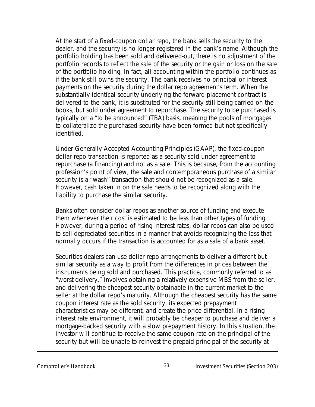At the start of a fixed-coupon dollar repo, the bank sells the security to the dealer, and the security is no longer registered in the bank's name. Although the portfolio holding has been sold and delivered-out, there is no adjustment of the portfolio records to reflect the sale of the security or the gain or loss on the sale of the portfolio holding. In fact, all accounting within the portfolio continues as if the bank still owns the security. The bank receives no principal or interest payments on the security during the dollar repo agreement's term. When the substantially identical security underlying the forward placement contract is delivered to the bank, it is substituted for the security still being carried on the books, but sold under agreement to repurchase. The security to be purchased is typically on a "to be announced" (TBA) basis, meaning the pools of mortgages to collateralize the purchased security have been formed but not specifically identified.

Under Generally Accepted Accounting Principles (GAAP), the fixed-coupon dollar repo transaction is reported as a security sold under agreement to repurchase (a financing) and not as a sale. This is because, from the accounting profession's point of view, the sale and contemporaneous purchase of a similar security is a "wash" transaction that should not be recognized as a sale. However, cash taken in on the sale needs to be recognized along with the liability to purchase the similar security.

Banks often consider dollar repos as another source of funding and execute them whenever their cost is estimated to be less than other types of funding. However, during a period of rising interest rates, dollar repos can also be used to sell depreciated securities in a manner that avoids recognizing the loss that normally occurs if the transaction is accounted for as a sale of a bank asset.

Securities dealers can use dollar repo arrangements to deliver a different but similar security as a way to profit from the differences in prices between the instruments being sold and purchased. This practice, commonly referred to as "worst delivery," involves obtaining a relatively expensive MBS from the seller, and delivering the cheapest security obtainable in the current market to the seller at the dollar repo's maturity. Although the cheapest security has the same coupon interest rate as the sold security, its expected prepayment characteristics may be different, and create the price differential. In a rising interest rate environment, it will probably be cheaper to purchase and deliver a mortgage-backed security with a slow prepayment history. In this situation, the investor will continue to receive the same coupon rate on the principal of the security but will be unable to reinvest the prepaid principal of the security at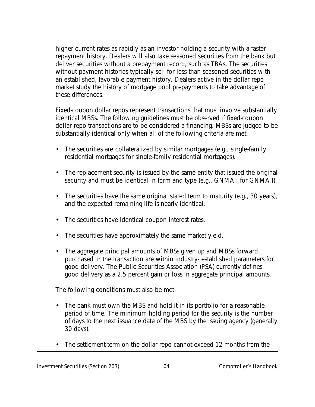higher current rates as rapidly as an investor holding a security with a faster repayment history. Dealers will also take seasoned securities from the bank but deliver securities without a prepayment record, such as TBAs. The securities without payment histories typically sell for less than seasoned securities with an established, favorable payment history. Dealers active in the dollar repo market study the history of mortgage pool prepayments to take advantage of these differences.

Fixed-coupon dollar repos represent transactions that must involve substantially identical MBSs. The following guidelines must be observed if fixed-coupon dollar repo transactions are to be considered a financing. MBSs are judged to be substantially identical only when all of the following criteria are met:

- The securities are collateralized by similar mortgages (e.g., single-family residential mortgages for single-family residential mortgages).
- The replacement security is issued by the same entity that issued the original security and must be identical in form and type (e.g., GNMA I for GNMA I).
- The securities have the same original stated term to maturity (e.g., 30 years), and the expected remaining life is nearly identical.
- The securities have identical coupon interest rates.
- The securities have approximately the same market yield.
- The aggregate principal amounts of MBSs given up and MBSs forward purchased in the transaction are within industry- established parameters for good delivery. The Public Securities Association (PSA) currently defines good delivery as a 2.5 percent gain or loss in aggregate principal amounts.

The following conditions must also be met.

- The bank must own the MBS and hold it in its portfolio for a reasonable period of time. The minimum holding period for the security is the number of days to the next issuance date of the MBS by the issuing agency (generally 30 days).
- The settlement term on the dollar repo cannot exceed 12 months from the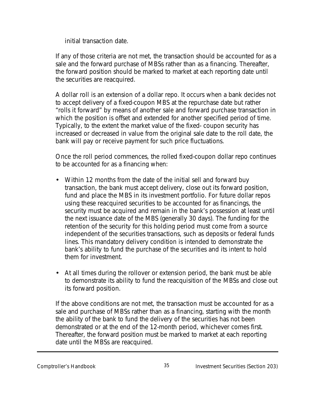initial transaction date.

If any of those criteria are not met, the transaction should be accounted for as a sale and the forward purchase of MBSs rather than as a financing. Thereafter, the forward position should be marked to market at each reporting date until the securities are reacquired.

A dollar roll is an extension of a dollar repo. It occurs when a bank decides not to accept delivery of a fixed-coupon MBS at the repurchase date but rather "rolls it forward" by means of another sale and forward purchase transaction in which the position is offset and extended for another specified period of time. Typically, to the extent the market value of the fixed- coupon security has increased or decreased in value from the original sale date to the roll date, the bank will pay or receive payment for such price fluctuations.

Once the roll period commences, the rolled fixed-coupon dollar repo continues to be accounted for as a financing when:

- Within 12 months from the date of the initial sell and forward buy transaction, the bank must accept delivery, close out its forward position, fund and place the MBS in its investment portfolio. For future dollar repos using these reacquired securities to be accounted for as financings, the security must be acquired and remain in the bank's possession at least until the next issuance date of the MBS (generally 30 days). The funding for the retention of the security for this holding period must come from a source independent of the securities transactions, such as deposits or federal funds lines. This mandatory delivery condition is intended to demonstrate the bank's ability to fund the purchase of the securities and its intent to hold them for investment.
- At all times during the rollover or extension period, the bank must be able to demonstrate its ability to fund the reacquisition of the MBSs and close out its forward position.

If the above conditions are not met, the transaction must be accounted for as a sale and purchase of MBSs rather than as a financing, starting with the month the ability of the bank to fund the delivery of the securities has not been demonstrated or at the end of the 12-month period, whichever comes first. Thereafter, the forward position must be marked to market at each reporting date until the MBSs are reacquired.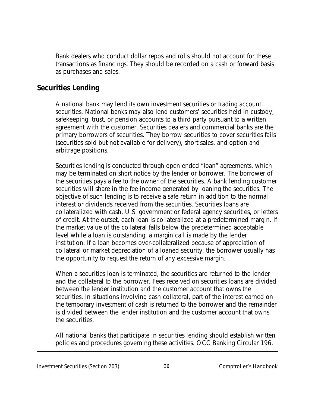Bank dealers who conduct dollar repos and rolls should not account for these transactions as financings. They should be recorded on a cash or forward basis as purchases and sales.

## **Securities Lending**

A national bank may lend its own investment securities or trading account securities. National banks may also lend customers' securities held in custody, safekeeping, trust, or pension accounts to a third party pursuant to a written agreement with the customer. Securities dealers and commercial banks are the primary borrowers of securities. They borrow securities to cover securities fails (securities sold but not available for delivery), short sales, and option and arbitrage positions.

Securities lending is conducted through open ended "loan" agreements, which may be terminated on short notice by the lender or borrower. The borrower of the securities pays a fee to the owner of the securities. A bank lending customer securities will share in the fee income generated by loaning the securities. The objective of such lending is to receive a safe return in addition to the normal interest or dividends received from the securities. Securities loans are collateralized with cash, U.S. government or federal agency securities, or letters of credit. At the outset, each loan is collateralized at a predetermined margin. If the market value of the collateral falls below the predetermined acceptable level while a loan is outstanding, a margin call is made by the lender institution. If a loan becomes over-collateralized because of appreciation of collateral or market depreciation of a loaned security, the borrower usually has the opportunity to request the return of any excessive margin.

When a securities loan is terminated, the securities are returned to the lender and the collateral to the borrower. Fees received on securities loans are divided between the lender institution and the customer account that owns the securities. In situations involving cash collateral, part of the interest earned on the temporary investment of cash is returned to the borrower and the remainder is divided between the lender institution and the customer account that owns the securities.

All national banks that participate in securities lending should establish written policies and procedures governing these activities. OCC Banking Circular 196,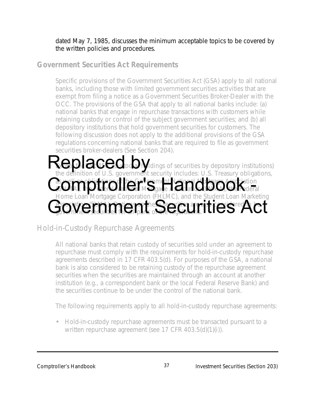## dated May 7, 1985, discusses the minimum acceptable topics to be covered by the written policies and procedures.

# **Government Securities Act Requirements**

Specific provisions of the Government Securities Act (GSA) apply to all national banks, including those with limited government securities activities that are exempt from filing a notice as a Government Securities Broker-Dealer with the OCC. The provisions of the GSA that apply to all national banks include: (a) national banks that engage in repurchase transactions with customers while retaining custody or control of the subject government securities; and (b) all depository institutions that hold government securities for customers. The following discussion does not apply to the additional provisions of the GSA regulations concerning national banks that are required to file as government securities broker-dealers (See Section 204).

## $\bf W$  or  $\bf G$  to  $\bf C$  to  $\bf C$  is the  $\bf C$  depository institutions) Replaced od Midings of securities by depository institutions<br>the definition of U.S. government security includes: U.S. Treasury obligations, as well as obligations of the Government National Mortgage Association Comptroller's Handbook -Home Loan Mortgage Corporation (FHLMC), and the Student Loan Marketing  $\Delta$ sociation (SLM). Options on the  $C$  considered to be also considered to be Government Securities Act

# Hold-in-Custody Repurchase Agreements

All national banks that retain custody of securities sold under an agreement to repurchase must comply with the requirements for hold-in-custody repurchase agreements described in 17 CFR 403.5(d). For purposes of the GSA, a national bank is also considered to be retaining custody of the repurchase agreement securities when the securities are maintained through an account at another institution (e.g., a correspondent bank or the local Federal Reserve Bank) and the securities continue to be under the control of the national bank.

The following requirements apply to all hold-in-custody repurchase agreements:

• Hold-in-custody repurchase agreements must be transacted pursuant to a written repurchase agreement (see 17 CFR 403.5(d)(1)(i)).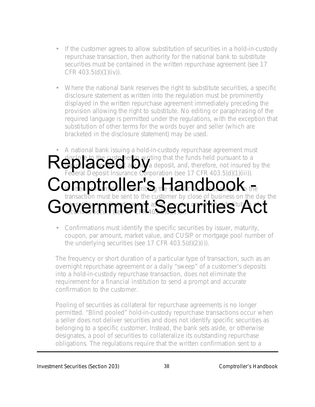- If the customer agrees to allow substitution of securities in a hold-in-custody repurchase transaction, then authority for the national bank to substitute securities must be contained in the written repurchase agreement (see 17 CFR 403.5(d)(1)(iv)).
- Where the national bank reserves the right to substitute securities, a specific disclosure statement as written into the regulation must be prominently displayed in the written repurchase agreement immediately preceding the provision allowing the right to substitute. No editing or paraphrasing of the required language is permitted under the regulations, with the exception that substitution of other terms for the words buyer and seller (which are bracketed in the disclosure statement) may be used.

## • A national bank issuing a hold-in-custody repurchase agreement must disclose to the customer in writing that the funds held pursuant to a  $\mathbf{F}$ reform and  $\mathbf{F}$  and  $\mathbf{F}$  a deposit, and, therefore, not insured by the Replace to the customer in writing that the funds held pursuant to a<br>Federal Deposit Insurance Corporation (see 17 CFR 403.5(d)(1)(iii)). Comptroller's Handbook the transaction must be sent to the customer by close of business on the day the the distribution is in the contraction of  $\alpha$  and  $\alpha$  and  $\alpha$  on  $\alpha$  and  $\alpha$  on  $\alpha$  on  $\alpha$  on  $\alpha$ Government Securities Act

• Confirmations must identify the specific securities by issuer, maturity, coupon, par amount, market value, and CUSIP or mortgage pool number of the underlying securities (see 17 CFR 403.5(d)(2)(i)).

The frequency or short duration of a particular type of transaction, such as an overnight repurchase agreement or a daily "sweep" of a customer's deposits into a hold-in-custody repurchase transaction, does not eliminate the requirement for a financial institution to send a prompt and accurate confirmation to the customer.

Pooling of securities as collateral for repurchase agreements is no longer permitted. "Blind pooled" hold-in-custody repurchase transactions occur when a seller does not deliver securities and does not identify specific securities as belonging to a specific customer. Instead, the bank sets aside, or otherwise designates, a pool of securities to collateralize its outstanding repurchase obligations. The regulations require that the written confirmation sent to a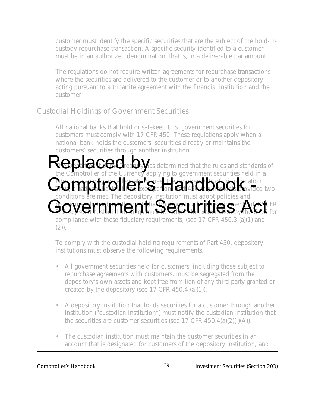customer must identify the specific securities that are the subject of the hold-incustody repurchase transaction. A specific security identified to a customer must be in an authorized denomination, that is, in a deliverable par amount.

The regulations do not require written agreements for repurchase transactions where the securities are delivered to the customer or to another depository acting pursuant to a tripartite agreement with the financial institution and the customer.

## Custodial Holdings of Government Securities

All national banks that hold or safekeep U.S. government securities for customers must comply with 17 CFR 450. These regulations apply when a national bank holds the customers' securities directly or maintains the customers' securities through another institution.

 $\bf V\bar C$   $\bf p$ d  $\bf G\bar C$   $\bf U\bar C$  rea $\bf U\bar y$  as determined that the rules and standards of Repla**CCC** ea Dylas determined that the rules and standards the Comptroller of the Currency applying to government securities held in a **hdusiary capacity are adequate to meet the requirements of this regulation.** Comptroller's Handbook Kovided two ions are met. The depository institution must adopt policies and  $\alpha$  procedures that subject that  $\alpha$  is all the customer of  $\alpha$  in  $\alpha$ Government sust Securities which compliance with these fiduciary requirements, (see 17 CFR 450.3 (a)(1) and  $(2)$ ).

To comply with the custodial holding requirements of Part 450, depository institutions must observe the following requirements.

- All government securities held for customers, including those subject to repurchase agreements with customers, must be segregated from the depository's own assets and kept free from lien of any third party granted or created by the depository (see 17 CFR 450.4 (a)(1)).
- A depository institution that holds securities for a customer through another institution ("custodian institution") must notify the custodian institution that the securities are customer securities (see 17 CFR 450.4(a)(2)(i)(A)).
- The custodian institution must maintain the customer securities in an account that is designated for customers of the depository institution, and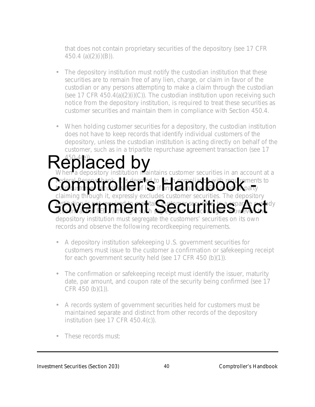that does not contain proprietary securities of the depository (see 17 CFR 450.4 (a)(2)(i)(B)).

- The depository institution must notify the custodian institution that these securities are to remain free of any lien, charge, or claim in favor of the custodian or any persons attempting to make a claim through the custodian (see 17 CFR 450.4(a) $(2)(i)(C)$ ). The custodian institution upon receiving such notice from the depository institution, is required to treat these securities as customer securities and maintain them in compliance with Section 450.4.
- When holding customer securities for a depository, the custodian institution does not have to keep records that identify individual customers of the depository, unless the custodian institution is acting directly on behalf of the customer, such as in a tripartite repurchase agreement transaction (see 17

## 450.4(e)). Replaced by<br>When a depository institution maintains customer securities in an account at a Federal Reserve bank, it is deemed to be in compliance with requirements to hold customer securities in FeD if any denoties fed, or other party claiming through it, expressly excludes customer securities. The depository institution is not required to maintain customer securities in a separate custody Government Securities Act Cederal Peservathant Is deep ted to the incompliant by the requirements

depository institution must segregate the customers' securities on its own records and observe the following recordkeeping requirements.

- A depository institution safekeeping U.S. government securities for customers must issue to the customer a confirmation or safekeeping receipt for each government security held (see 17 CFR 450 (b)(1)).
- The confirmation or safekeeping receipt must identify the issuer, maturity date, par amount, and coupon rate of the security being confirmed (see 17 CFR 450 (b)(1)).
- A records system of government securities held for customers must be maintained separate and distinct from other records of the depository institution (see 17 CFR 450.4(c)).
- These records must: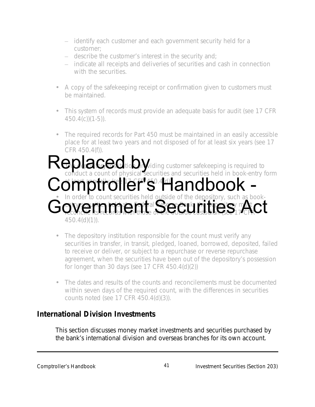- identify each customer and each government security held for a customer;
- describe the customer's interest in the security and;
- indicate all receipts and deliveries of securities and cash in connection with the securities.
- A copy of the safekeeping receipt or confirmation given to customers must be maintained.
- This system of records must provide an adequate basis for audit (see 17 CFR  $450.4(c)(1-5)$ .
- The required records for Part 450 must be maintained in an easily accessible place for at least two years and not disposed of for at least six years (see 17 CFR 450.4(f)).

# **b u** deposition providing customer safekeeping is required to Replaced to conduct a count of physical securities and securities held in book-entry form Comptroller's Handbook -• In order to count securities held outside of the depository, such as bookentworkie ientro entry second in those must Government<sup>al</sup> Securities Act 450.4(d)(1)).

- The depository institution responsible for the count must verify any securities in transfer, in transit, pledged, loaned, borrowed, deposited, failed to receive or deliver, or subject to a repurchase or reverse repurchase agreement, when the securities have been out of the depository's possession for longer than 30 days (see 17 CFR 450.4(d)(2))
	- The dates and results of the counts and reconcilements must be documented within seven days of the required count, with the differences in securities counts noted (see 17 CFR 450.4(d)(3)).

# **International Division Investments**

This section discusses money market investments and securities purchased by the bank's international division and overseas branches for its own account.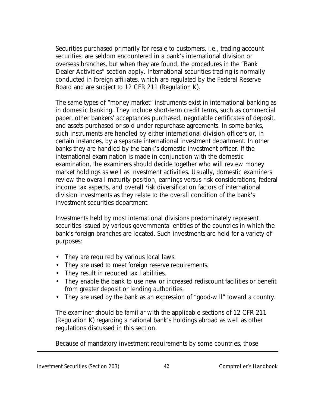Securities purchased primarily for resale to customers, i.e., trading account securities, are seldom encountered in a bank's international division or overseas branches, but when they are found, the procedures in the "Bank Dealer Activities" section apply. International securities trading is normally conducted in foreign affiliates, which are regulated by the Federal Reserve Board and are subject to 12 CFR 211 (Regulation K).

The same types of "money market" instruments exist in international banking as in domestic banking. They include short-term credit terms, such as commercial paper, other bankers' acceptances purchased, negotiable certificates of deposit, and assets purchased or sold under repurchase agreements. In some banks, such instruments are handled by either international division officers or, in certain instances, by a separate international investment department. In other banks they are handled by the bank's domestic investment officer. If the international examination is made in conjunction with the domestic examination, the examiners should decide together who will review money market holdings as well as investment activities. Usually, domestic examiners review the overall maturity position, earnings versus risk considerations, federal income tax aspects, and overall risk diversification factors of international division investments as they relate to the overall condition of the bank's investment securities department.

Investments held by most international divisions predominately represent securities issued by various governmental entities of the countries in which the bank's foreign branches are located. Such investments are held for a variety of purposes:

- They are required by various local laws.
- They are used to meet foreign reserve requirements.
- They result in reduced tax liabilities.
- They enable the bank to use new or increased rediscount facilities or benefit from greater deposit or lending authorities.
- They are used by the bank as an expression of "good-will" toward a country.

The examiner should be familiar with the applicable sections of 12 CFR 211 (Regulation K) regarding a national bank's holdings abroad as well as other regulations discussed in this section.

Because of mandatory investment requirements by some countries, those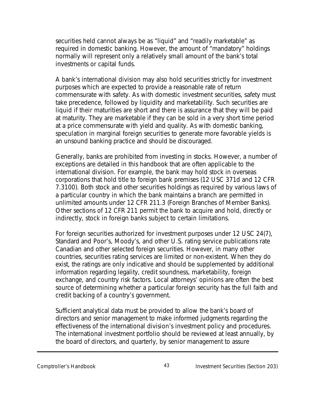securities held cannot always be as "liquid" and "readily marketable" as required in domestic banking. However, the amount of "mandatory" holdings normally will represent only a relatively small amount of the bank's total investments or capital funds.

A bank's international division may also hold securities strictly for investment purposes which are expected to provide a reasonable rate of return commensurate with safety. As with domestic investment securities, safety must take precedence, followed by liquidity and marketability. Such securities are liquid if their maturities are short and there is assurance that they will be paid at maturity. They are marketable if they can be sold in a very short time period at a price commensurate with yield and quality. As with domestic banking, speculation in marginal foreign securities to generate more favorable yields is an unsound banking practice and should be discouraged.

Generally, banks are prohibited from investing in stocks. However, a number of exceptions are detailed in this handbook that are often applicable to the international division. For example, the bank may hold stock in overseas corporations that hold title to foreign bank premises (12 USC 371d and 12 CFR 7.3100). Both stock and other securities holdings as required by various laws of a particular country in which the bank maintains a branch are permitted in unlimited amounts under 12 CFR 211.3 (Foreign Branches of Member Banks). Other sections of 12 CFR 211 permit the bank to acquire and hold, directly or indirectly, stock in foreign banks subject to certain limitations.

For foreign securities authorized for investment purposes under 12 USC 24(7), Standard and Poor's, Moody's, and other U.S. rating service publications rate Canadian and other selected foreign securities. However, in many other countries, securities rating services are limited or non-existent. When they do exist, the ratings are only indicative and should be supplemented by additional information regarding legality, credit soundness, marketability, foreign exchange, and country risk factors. Local attorneys' opinions are often the best source of determining whether a particular foreign security has the full faith and credit backing of a country's government.

Sufficient analytical data must be provided to allow the bank's board of directors and senior management to make informed judgments regarding the effectiveness of the international division's investment policy and procedures. The international investment portfolio should be reviewed at least annually, by the board of directors, and quarterly, by senior management to assure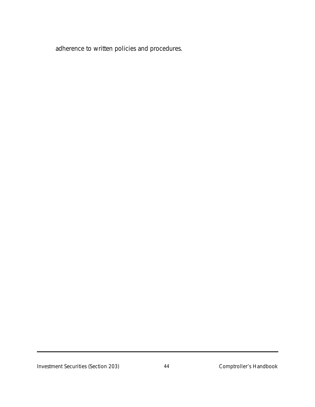adherence to written policies and procedures.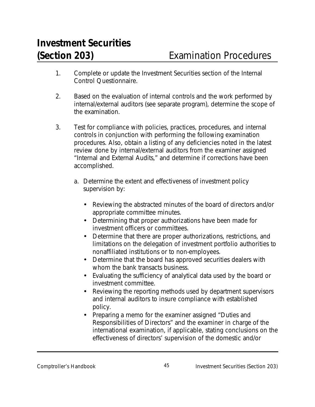- 1. Complete or update the Investment Securities section of the Internal Control Questionnaire.
- 2. Based on the evaluation of internal controls and the work performed by internal/external auditors (see separate program), determine the scope of the examination.
- 3. Test for compliance with policies, practices, procedures, and internal controls in conjunction with performing the following examination procedures. Also, obtain a listing of any deficiencies noted in the latest review done by internal/external auditors from the examiner assigned "Internal and External Audits," and determine if corrections have been accomplished.
	- a. Determine the extent and effectiveness of investment policy supervision by:
		- Reviewing the abstracted minutes of the board of directors and/or appropriate committee minutes.
		- Determining that proper authorizations have been made for investment officers or committees.
		- Determine that there are proper authorizations, restrictions, and limitations on the delegation of investment portfolio authorities to nonaffiliated institutions or to non-employees.
		- Determine that the board has approved securities dealers with whom the bank transacts business.
		- Evaluating the sufficiency of analytical data used by the board or investment committee.
		- Reviewing the reporting methods used by department supervisors and internal auditors to insure compliance with established policy.
		- Preparing a memo for the examiner assigned "Duties and Responsibilities of Directors" and the examiner in charge of the international examination, if applicable, stating conclusions on the effectiveness of directors' supervision of the domestic and/or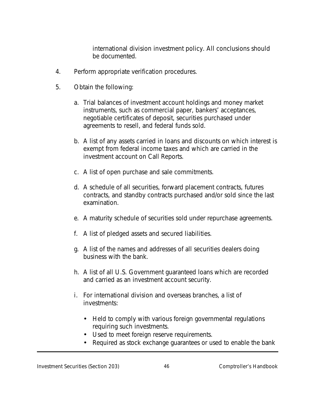international division investment policy. All conclusions should be documented.

- 4. Perform appropriate verification procedures.
- 5. Obtain the following:
	- a. Trial balances of investment account holdings and money market instruments, such as commercial paper, bankers' acceptances, negotiable certificates of deposit, securities purchased under agreements to resell, and federal funds sold.
	- b. A list of any assets carried in loans and discounts on which interest is exempt from federal income taxes and which are carried in the investment account on Call Reports.
	- c. A list of open purchase and sale commitments.
	- d. A schedule of all securities, forward placement contracts, futures contracts, and standby contracts purchased and/or sold since the last examination.
	- e. A maturity schedule of securities sold under repurchase agreements.
	- f. A list of pledged assets and secured liabilities.
	- g. A list of the names and addresses of all securities dealers doing business with the bank.
	- h. A list of all U.S. Government guaranteed loans which are recorded and carried as an investment account security.
	- i. For international division and overseas branches, a list of investments:
		- Held to comply with various foreign governmental regulations requiring such investments.
		- Used to meet foreign reserve requirements.
		- Required as stock exchange guarantees or used to enable the bank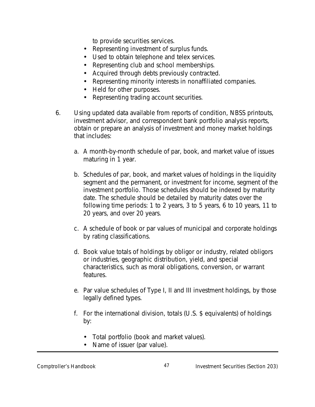to provide securities services.

- Representing investment of surplus funds.
- Used to obtain telephone and telex services.
- Representing club and school memberships.
- Acquired through debts previously contracted.
- Representing minority interests in nonaffiliated companies.
- Held for other purposes.
- Representing trading account securities.
- 6. Using updated data available from reports of condition, NBSS printouts, investment advisor, and correspondent bank portfolio analysis reports, obtain or prepare an analysis of investment and money market holdings that includes:
	- a. A month-by-month schedule of par, book, and market value of issues maturing in 1 year.
	- b. Schedules of par, book, and market values of holdings in the liquidity segment and the permanent, or investment for income, segment of the investment portfolio. Those schedules should be indexed by maturity date. The schedule should be detailed by maturity dates over the following time periods: 1 to 2 years, 3 to 5 years, 6 to 10 years, 11 to 20 years, and over 20 years.
	- c. A schedule of book or par values of municipal and corporate holdings by rating classifications.
	- d. Book value totals of holdings by obligor or industry, related obligors or industries, geographic distribution, yield, and special characteristics, such as moral obligations, conversion, or warrant features.
	- e. Par value schedules of Type I, II and III investment holdings, by those legally defined types.
	- f. For the international division, totals (U.S. \$ equivalents) of holdings by:
		- Total portfolio (book and market values).
		- Name of issuer (par value).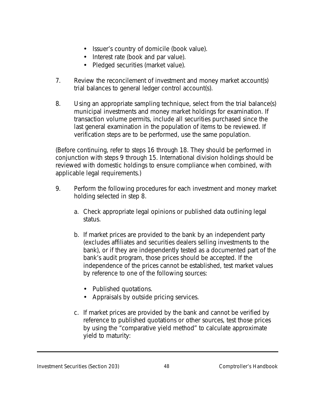- Issuer's country of domicile (book value).
- Interest rate (book and par value).
- Pledged securities (market value).
- 7. Review the reconcilement of investment and money market account(s) trial balances to general ledger control account(s).
- 8. Using an appropriate sampling technique, select from the trial balance(s) municipal investments and money market holdings for examination. If transaction volume permits, include all securities purchased since the last general examination in the population of items to be reviewed. If verification steps are to be performed, use the same population.

(Before continuing, refer to steps 16 through 18. They should be performed in conjunction with steps 9 through 15. International division holdings should be reviewed with domestic holdings to ensure compliance when combined, with applicable legal requirements.)

- 9. Perform the following procedures for each investment and money market holding selected in step 8.
	- a. Check appropriate legal opinions or published data outlining legal status.
	- b. If market prices are provided to the bank by an independent party (excludes affiliates and securities dealers selling investments to the bank), or if they are independently tested as a documented part of the bank's audit program, those prices should be accepted. If the independence of the prices cannot be established, test market values by reference to one of the following sources:
		- Published quotations.
		- Appraisals by outside pricing services.
	- c. If market prices are provided by the bank and cannot be verified by reference to published quotations or other sources, test those prices by using the "comparative yield method" to calculate approximate yield to maturity: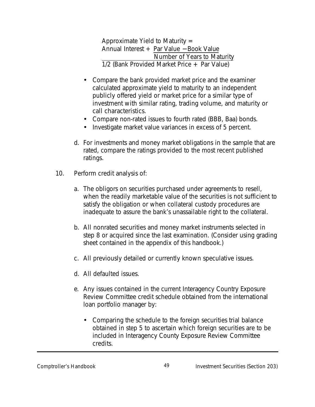Approximate Yield to Maturity  $=$ Annual Interest + Par Value − Book Value Number of Years to Maturity 1/2 (Bank Provided Market Price + Par Value)

- Compare the bank provided market price and the examiner calculated approximate yield to maturity to an independent publicly offered yield or market price for a similar type of investment with similar rating, trading volume, and maturity or call characteristics.
- Compare non-rated issues to fourth rated (BBB, Baa) bonds.
- Investigate market value variances in excess of 5 percent.
- d. For investments and money market obligations in the sample that are rated, compare the ratings provided to the most recent published ratings.
- 10. Perform credit analysis of:
	- a. The obligors on securities purchased under agreements to resell, when the readily marketable value of the securities is not sufficient to satisfy the obligation or when collateral custody procedures are inadequate to assure the bank's unassailable right to the collateral.
	- b. All nonrated securities and money market instruments selected in step 8 or acquired since the last examination. (Consider using grading sheet contained in the appendix of this handbook.)
	- c. All previously detailed or currently known speculative issues.
	- d. All defaulted issues.
	- e. Any issues contained in the current Interagency Country Exposure Review Committee credit schedule obtained from the international loan portfolio manager by:
		- Comparing the schedule to the foreign securities trial balance obtained in step 5 to ascertain which foreign securities are to be included in Interagency County Exposure Review Committee credits.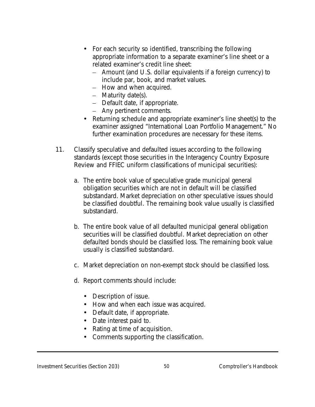- For each security so identified, transcribing the following appropriate information to a separate examiner's line sheet or a related examiner's credit line sheet:
	- Amount (and U.S. dollar equivalents if a foreign currency) to include par, book, and market values.
	- How and when acquired.
	- Maturity date(s).
	- Default date, if appropriate.
	- Any pertinent comments.
- Returning schedule and appropriate examiner's line sheet(s) to the examiner assigned "International Loan Portfolio Management." No further examination procedures are necessary for these items.
- 11. Classify speculative and defaulted issues according to the following standards (except those securities in the Interagency Country Exposure Review and FFIEC uniform classifications of municipal securities):
	- a. The entire book value of speculative grade municipal general obligation securities which are not in default will be classified substandard. Market depreciation on other speculative issues should be classified doubtful. The remaining book value usually is classified substandard.
	- b. The entire book value of all defaulted municipal general obligation securities will be classified doubtful. Market depreciation on other defaulted bonds should be classified loss. The remaining book value usually is classified substandard.
	- c. Market depreciation on non-exempt stock should be classified loss.
	- d. Report comments should include:
		- Description of issue.
		- How and when each issue was acquired.
		- Default date, if appropriate.
		- Date interest paid to.
		- Rating at time of acquisition.
		- Comments supporting the classification.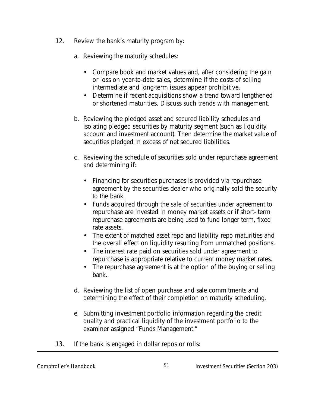- 12. Review the bank's maturity program by:
	- a. Reviewing the maturity schedules:
		- Compare book and market values and, after considering the gain or loss on year-to-date sales, determine if the costs of selling intermediate and long-term issues appear prohibitive.
		- Determine if recent acquisitions show a trend toward lengthened or shortened maturities. Discuss such trends with management.
	- b. Reviewing the pledged asset and secured liability schedules and isolating pledged securities by maturity segment (such as liquidity account and investment account). Then determine the market value of securities pledged in excess of net secured liabilities.
	- c. Reviewing the schedule of securities sold under repurchase agreement and determining if:
		- Financing for securities purchases is provided via repurchase agreement by the securities dealer who originally sold the security to the bank.
		- Funds acquired through the sale of securities under agreement to repurchase are invested in money market assets or if short- term repurchase agreements are being used to fund longer term, fixed rate assets.
		- The extent of matched asset repo and liability repo maturities and the overall effect on liquidity resulting from unmatched positions.
		- The interest rate paid on securities sold under agreement to repurchase is appropriate relative to current money market rates.
		- The repurchase agreement is at the option of the buying or selling bank.
	- d. Reviewing the list of open purchase and sale commitments and determining the effect of their completion on maturity scheduling.
	- e. Submitting investment portfolio information regarding the credit quality and practical liquidity of the investment portfolio to the examiner assigned "Funds Management."
- 13. If the bank is engaged in dollar repos or rolls: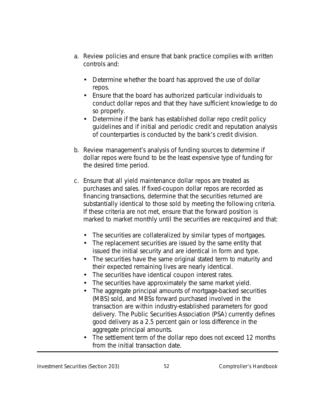- a. Review policies and ensure that bank practice complies with written controls and:
	- Determine whether the board has approved the use of dollar repos.
	- Ensure that the board has authorized particular individuals to conduct dollar repos and that they have sufficient knowledge to do so properly.
	- Determine if the bank has established dollar repo credit policy guidelines and if initial and periodic credit and reputation analysis of counterparties is conducted by the bank's credit division.
- b. Review management's analysis of funding sources to determine if dollar repos were found to be the least expensive type of funding for the desired time period.
- c. Ensure that all yield maintenance dollar repos are treated as purchases and sales. If fixed-coupon dollar repos are recorded as financing transactions, determine that the securities returned are substantially identical to those sold by meeting the following criteria. If these criteria are not met, ensure that the forward position is marked to market monthly until the securities are reacquired and that:
	- The securities are collateralized by similar types of mortgages.
	- The replacement securities are issued by the same entity that issued the initial security and are identical in form and type.
	- The securities have the same original stated term to maturity and their expected remaining lives are nearly identical.
	- The securities have identical coupon interest rates.
	- The securities have approximately the same market yield.
	- The aggregate principal amounts of mortgage-backed securities (MBS) sold, and MBSs forward purchased involved in the transaction are within industry-established parameters for good delivery. The Public Securities Association (PSA) currently defines good delivery as a 2.5 percent gain or loss difference in the aggregate principal amounts.
	- The settlement term of the dollar repo does not exceed 12 months from the initial transaction date.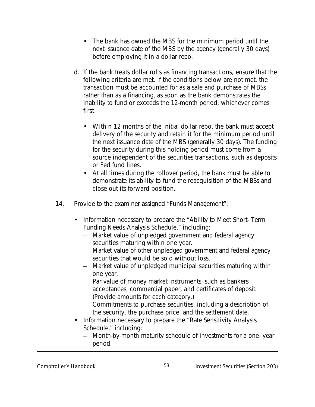- The bank has owned the MBS for the minimum period until the next issuance date of the MBS by the agency (generally 30 days) before employing it in a dollar repo.
- d. If the bank treats dollar rolls as financing transactions, ensure that the following criteria are met. If the conditions below are not met, the transaction must be accounted for as a sale and purchase of MBSs rather than as a financing, as soon as the bank demonstrates the inability to fund or exceeds the 12-month period, whichever comes first.
	- Within 12 months of the initial dollar repo, the bank must accept delivery of the security and retain it for the minimum period until the next issuance date of the MBS (generally 30 days). The funding for the security during this holding period must come from a source independent of the securities transactions, such as deposits or Fed fund lines.
	- At all times during the rollover period, the bank must be able to demonstrate its ability to fund the reacquisition of the MBSs and close out its forward position.
- 14. Provide to the examiner assigned "Funds Management":
	- Information necessary to prepare the "Ability to Meet Short-Term Funding Needs Analysis Schedule," including:
		- Market value of unpledged government and federal agency securities maturing within one year.
		- Market value of other unpledged government and federal agency securities that would be sold without loss.
		- Market value of unpledged municipal securities maturing within one year.
		- Par value of money market instruments, such as bankers acceptances, commercial paper, and certificates of deposit. (Provide amounts for each category.)
		- Commitments to purchase securities, including a description of the security, the purchase price, and the settlement date.
	- Information necessary to prepare the "Rate Sensitivity Analysis Schedule," including:
		- Month-by-month maturity schedule of investments for a one- year period.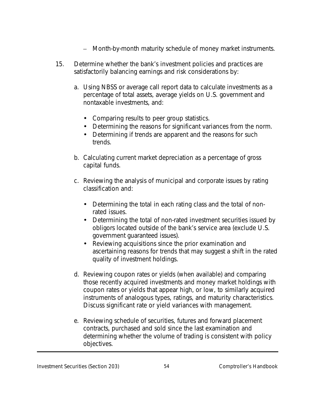- Month-by-month maturity schedule of money market instruments.
- 15. Determine whether the bank's investment policies and practices are satisfactorily balancing earnings and risk considerations by:
	- a. Using NBSS or average call report data to calculate investments as a percentage of total assets, average yields on U.S. government and nontaxable investments, and:
		- Comparing results to peer group statistics.
		- Determining the reasons for significant variances from the norm.
		- Determining if trends are apparent and the reasons for such trends.
	- b. Calculating current market depreciation as a percentage of gross capital funds.
	- c. Reviewing the analysis of municipal and corporate issues by rating classification and:
		- Determining the total in each rating class and the total of nonrated issues.
		- Determining the total of non-rated investment securities issued by obligors located outside of the bank's service area (exclude U.S. government guaranteed issues).
		- Reviewing acquisitions since the prior examination and ascertaining reasons for trends that may suggest a shift in the rated quality of investment holdings.
	- d. Reviewing coupon rates or yields (when available) and comparing those recently acquired investments and money market holdings with coupon rates or yields that appear high, or low, to similarly acquired instruments of analogous types, ratings, and maturity characteristics. Discuss significant rate or yield variances with management.
	- e. Reviewing schedule of securities, futures and forward placement contracts, purchased and sold since the last examination and determining whether the volume of trading is consistent with policy objectives.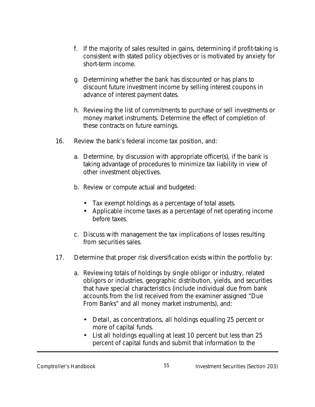- f. If the majority of sales resulted in gains, determining if profit-taking is consistent with stated policy objectives or is motivated by anxiety for short-term income.
- g. Determining whether the bank has discounted or has plans to discount future investment income by selling interest coupons in advance of interest payment dates.
- h. Reviewing the list of commitments to purchase or sell investments or money market instruments. Determine the effect of completion of these contracts on future earnings.
- 16. Review the bank's federal income tax position, and:
	- a. Determine, by discussion with appropriate officer(s), if the bank is taking advantage of procedures to minimize tax liability in view of other investment objectives.
	- b. Review or compute actual and budgeted:
		- Tax exempt holdings as a percentage of total assets.
		- Applicable income taxes as a percentage of net operating income before taxes.
	- c. Discuss with management the tax implications of losses resulting from securities sales.
- 17. Determine that proper risk diversification exists within the portfolio by:
	- a. Reviewing totals of holdings by single obligor or industry, related obligors or industries, geographic distribution, yields, and securities that have special characteristics (include individual due from bank accounts from the list received from the examiner assigned "Due From Banks" and all money market instruments), and:
		- Detail, as concentrations, all holdings equalling 25 percent or more of capital funds.
		- List all holdings equalling at least 10 percent but less than 25 percent of capital funds and submit that information to the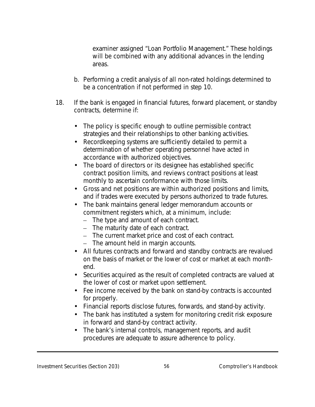examiner assigned "Loan Portfolio Management." These holdings will be combined with any additional advances in the lending areas.

- b. Performing a credit analysis of all non-rated holdings determined to be a concentration if not performed in step 10.
- 18. If the bank is engaged in financial futures, forward placement, or standby contracts, determine if:
	- The policy is specific enough to outline permissible contract strategies and their relationships to other banking activities.
	- Recordkeeping systems are sufficiently detailed to permit a determination of whether operating personnel have acted in accordance with authorized objectives.
	- The board of directors or its designee has established specific contract position limits, and reviews contract positions at least monthly to ascertain conformance with those limits.
	- Gross and net positions are within authorized positions and limits, and if trades were executed by persons authorized to trade futures.
	- The bank maintains general ledger memorandum accounts or commitment registers which, at a minimum, include:
		- The type and amount of each contract.
		- The maturity date of each contract.
		- The current market price and cost of each contract.
		- The amount held in margin accounts.
	- All futures contracts and forward and standby contracts are revalued on the basis of market or the lower of cost or market at each monthend.
	- Securities acquired as the result of completed contracts are valued at the lower of cost or market upon settlement.
	- Fee income received by the bank on stand-by contracts is accounted for properly.
	- Financial reports disclose futures, forwards, and stand-by activity.
	- The bank has instituted a system for monitoring credit risk exposure in forward and stand-by contract activity.
	- The bank's internal controls, management reports, and audit procedures are adequate to assure adherence to policy.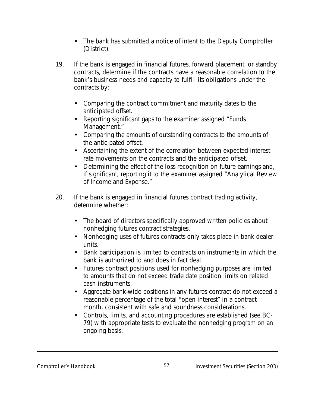- The bank has submitted a notice of intent to the Deputy Comptroller (District).
- 19. If the bank is engaged in financial futures, forward placement, or standby contracts, determine if the contracts have a reasonable correlation to the bank's business needs and capacity to fulfill its obligations under the contracts by:
	- Comparing the contract commitment and maturity dates to the anticipated offset.
	- Reporting significant gaps to the examiner assigned "Funds Management."
	- Comparing the amounts of outstanding contracts to the amounts of the anticipated offset.
	- Ascertaining the extent of the correlation between expected interest rate movements on the contracts and the anticipated offset.
	- Determining the effect of the loss recognition on future earnings and, if significant, reporting it to the examiner assigned "Analytical Review of Income and Expense."
- 20. If the bank is engaged in financial futures contract trading activity, determine whether:
	- The board of directors specifically approved written policies about nonhedging futures contract strategies.
	- Nonhedging uses of futures contracts only takes place in bank dealer units.
	- Bank participation is limited to contracts on instruments in which the bank is authorized to and does in fact deal.
	- Futures contract positions used for nonhedging purposes are limited to amounts that do not exceed trade date position limits on related cash instruments.
	- Aggregate bank-wide positions in any futures contract do not exceed a reasonable percentage of the total "open interest" in a contract month, consistent with safe and soundness considerations.
	- Controls, limits, and accounting procedures are established (see BC-79) with appropriate tests to evaluate the nonhedging program on an ongoing basis.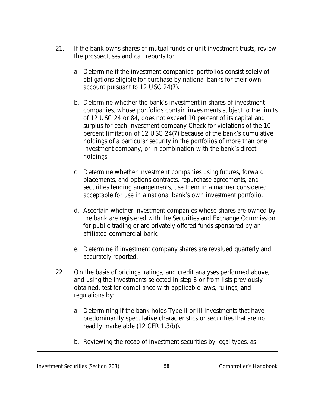- 21. If the bank owns shares of mutual funds or unit investment trusts, review the prospectuses and call reports to:
	- a. Determine if the investment companies' portfolios consist solely of obligations eligible for purchase by national banks for their own account pursuant to 12 USC 24(7).
	- b. Determine whether the bank's investment in shares of investment companies, whose portfolios contain investments subject to the limits of 12 USC 24 or 84, does not exceed 10 percent of its capital and surplus for each investment company Check for violations of the 10 percent limitation of 12 USC 24(7) because of the bank's cumulative holdings of a particular security in the portfolios of more than one investment company, or in combination with the bank's direct holdings.
	- c. Determine whether investment companies using futures, forward placements, and options contracts, repurchase agreements, and securities lending arrangements, use them in a manner considered acceptable for use in a national bank's own investment portfolio.
	- d. Ascertain whether investment companies whose shares are owned by the bank are registered with the Securities and Exchange Commission for public trading or are privately offered funds sponsored by an affiliated commercial bank.
	- e. Determine if investment company shares are revalued quarterly and accurately reported.
- 22. On the basis of pricings, ratings, and credit analyses performed above, and using the investments selected in step 8 or from lists previously obtained, test for compliance with applicable laws, rulings, and regulations by:
	- a. Determining if the bank holds Type II or III investments that have predominantly speculative characteristics or securities that are not readily marketable (12 CFR 1.3(b)).
	- b. Reviewing the recap of investment securities by legal types, as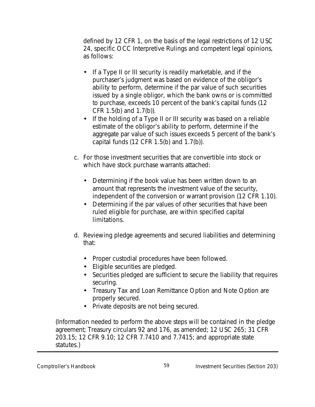defined by 12 CFR 1, on the basis of the legal restrictions of 12 USC 24, specific OCC Interpretive Rulings and competent legal opinions, as follows:

- If a Type II or III security is readily marketable, and if the purchaser's judgment was based on evidence of the obligor's ability to perform, determine if the par value of such securities issued by a single obligor, which the bank owns or is committed to purchase, exceeds 10 percent of the bank's capital funds (12 CFR 1.5(b) and 1.7(b)).
- If the holding of a Type II or III security was based on a reliable estimate of the obligor's ability to perform, determine if the aggregate par value of such issues exceeds 5 percent of the bank's capital funds (12 CFR 1.5(b) and 1.7(b)).
- c. For those investment securities that are convertible into stock or which have stock purchase warrants attached:
	- Determining if the book value has been written down to an amount that represents the investment value of the security, independent of the conversion or warrant provision (12 CFR 1.10).
	- Determining if the par values of other securities that have been ruled eligible for purchase, are within specified capital limitations.
- d. Reviewing pledge agreements and secured liabilities and determining that:
	- Proper custodial procedures have been followed.
	- Eligible securities are pledged.
	- Securities pledged are sufficient to secure the liability that requires securing.
	- Treasury Tax and Loan Remittance Option and Note Option are properly secured.
	- Private deposits are not being secured.

(Information needed to perform the above steps will be contained in the pledge agreement; Treasury circulars 92 and 176, as amended; 12 USC 265; 31 CFR 203.15; 12 CFR 9.10; 12 CFR 7.7410 and 7.7415; and appropriate state statutes.)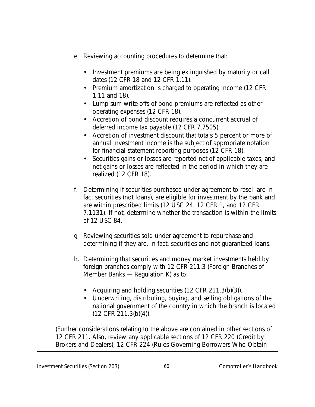- e. Reviewing accounting procedures to determine that:
	- Investment premiums are being extinguished by maturity or call dates (12 CFR 18 and 12 CFR 1.11).
	- Premium amortization is charged to operating income (12 CFR) 1.11 and 18).
	- Lump sum write-offs of bond premiums are reflected as other operating expenses (12 CFR 18).
	- Accretion of bond discount requires a concurrent accrual of deferred income tax payable (12 CFR 7.7505).
	- Accretion of investment discount that totals 5 percent or more of annual investment income is the subject of appropriate notation for financial statement reporting purposes (12 CFR 18).
	- Securities gains or losses are reported net of applicable taxes, and net gains or losses are reflected in the period in which they are realized (12 CFR 18).
- f. Determining if securities purchased under agreement to resell are in fact securities (not loans), are eligible for investment by the bank and are within prescribed limits (12 USC 24, 12 CFR 1, and 12 CFR 7.1131). If not, determine whether the transaction is within the limits of 12 USC 84.
- g. Reviewing securities sold under agreement to repurchase and determining if they are, in fact, securities and not guaranteed loans.
- h. Determining that securities and money market investments held by foreign branches comply with 12 CFR 211.3 (Foreign Branches of Member Banks — Regulation K) as to:
	- Acquiring and holding securities (12 CFR 211.3(b)(3)).
	- Underwriting, distributing, buying, and selling obligations of the national government of the country in which the branch is located (12 CFR 211.3(b)(4)).

(Further considerations relating to the above are contained in other sections of 12 CFR 211. Also, review any applicable sections of 12 CFR 220 (Credit by Brokers and Dealers), 12 CFR 224 (Rules Governing Borrowers Who Obtain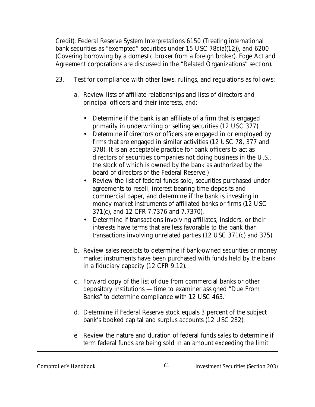Credit), Federal Reserve System Interpretations 6150 (Treating international bank securities as "exempted" securities under 15 USC 78c(a)(12)), and 6200 (Covering borrowing by a domestic broker from a foreign broker). Edge Act and Agreement corporations are discussed in the "Related Organizations" section).

- 23. Test for compliance with other laws, rulings, and regulations as follows:
	- a. Review lists of affiliate relationships and lists of directors and principal officers and their interests, and:
		- Determine if the bank is an affiliate of a firm that is engaged primarily in underwriting or selling securities (12 USC 377).
		- Determine if directors or officers are engaged in or employed by firms that are engaged in similar activities (12 USC 78, 377 and 378). It is an acceptable practice for bank officers to act as directors of securities companies not doing business in the U.S., the stock of which is owned by the bank as authorized by the board of directors of the Federal Reserve.)
		- Review the list of federal funds sold, securities purchased under agreements to resell, interest bearing time deposits and commercial paper, and determine if the bank is investing in money market instruments of affiliated banks or firms (12 USC 371(c), and 12 CFR 7.7376 and 7.7370).
		- Determine if transactions involving affiliates, insiders, or their interests have terms that are less favorable to the bank than transactions involving unrelated parties (12 USC 371(c) and 375).
	- b. Review sales receipts to determine if bank-owned securities or money market instruments have been purchased with funds held by the bank in a fiduciary capacity (12 CFR 9.12).
	- c. Forward copy of the list of due from commercial banks or other depository institutions — time to examiner assigned "Due From Banks" to determine compliance with 12 USC 463.
	- d. Determine if Federal Reserve stock equals 3 percent of the subject bank's booked capital and surplus accounts (12 USC 282).
	- e. Review the nature and duration of federal funds sales to determine if term federal funds are being sold in an amount exceeding the limit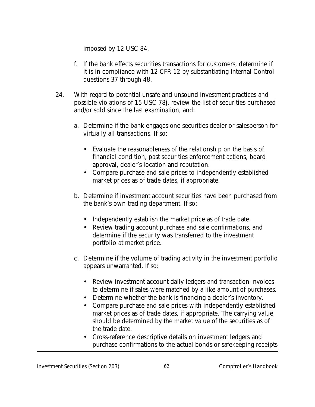imposed by 12 USC 84.

- f. If the bank effects securities transactions for customers, determine if it is in compliance with 12 CFR 12 by substantiating Internal Control questions 37 through 48.
- 24. With regard to potential unsafe and unsound investment practices and possible violations of 15 USC 78j, review the list of securities purchased and/or sold since the last examination, and:
	- a. Determine if the bank engages one securities dealer or salesperson for virtually all transactions. If so:
		- Evaluate the reasonableness of the relationship on the basis of financial condition, past securities enforcement actions, board approval, dealer's location and reputation.
		- Compare purchase and sale prices to independently established market prices as of trade dates, if appropriate.
	- b. Determine if investment account securities have been purchased from the bank's own trading department. If so:
		- Independently establish the market price as of trade date.
		- Review trading account purchase and sale confirmations, and determine if the security was transferred to the investment portfolio at market price.
	- c. Determine if the volume of trading activity in the investment portfolio appears unwarranted. If so:
		- Review investment account daily ledgers and transaction invoices to determine if sales were matched by a like amount of purchases.
		- Determine whether the bank is financing a dealer's inventory.
		- Compare purchase and sale prices with independently established market prices as of trade dates, if appropriate. The carrying value should be determined by the market value of the securities as of the trade date.
		- Cross-reference descriptive details on investment ledgers and purchase confirmations to the actual bonds or safekeeping receipts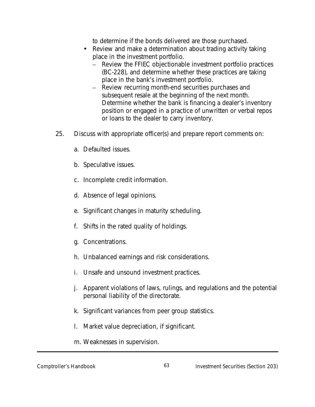to determine if the bonds delivered are those purchased.

- Review and make a determination about trading activity taking place in the investment portfolio.
	- Review the FFIEC objectionable investment portfolio practices (BC-228), and determine whether these practices are taking place in the bank's investment portfolio.
	- Review recurring month-end securities purchases and subsequent resale at the beginning of the next month. Determine whether the bank is financing a dealer's inventory position or engaged in a practice of unwritten or verbal repos or loans to the dealer to carry inventory.
- 25. Discuss with appropriate officer(s) and prepare report comments on:
	- a. Defaulted issues.
	- b. Speculative issues.
	- c. Incomplete credit information.
	- d. Absence of legal opinions.
	- e. Significant changes in maturity scheduling.
	- f. Shifts in the rated quality of holdings.
	- g. Concentrations.
	- h. Unbalanced earnings and risk considerations.
	- i. Unsafe and unsound investment practices.
	- j. Apparent violations of laws, rulings, and regulations and the potential personal liability of the directorate.
	- k. Significant variances from peer group statistics.
	- l. Market value depreciation, if significant.
	- m. Weaknesses in supervision.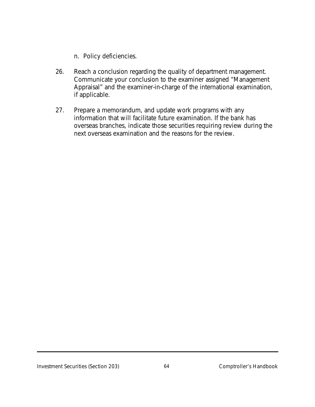n. Policy deficiencies.

- 26. Reach a conclusion regarding the quality of department management. Communicate your conclusion to the examiner assigned "Management Appraisal" and the examiner-in-charge of the international examination, if applicable.
- 27. Prepare a memorandum, and update work programs with any information that will facilitate future examination. If the bank has overseas branches, indicate those securities requiring review during the next overseas examination and the reasons for the review.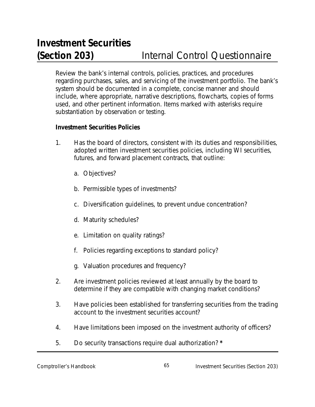Review the bank's internal controls, policies, practices, and procedures regarding purchases, sales, and servicing of the investment portfolio. The bank's system should be documented in a complete, concise manner and should include, where appropriate, narrative descriptions, flowcharts, copies of forms used, and other pertinent information. Items marked with asterisks require substantiation by observation or testing.

#### **Investment Securities Policies**

- 1. Has the board of directors, consistent with its duties and responsibilities, adopted written investment securities policies, including WI securities, futures, and forward placement contracts, that outline:
	- a. Objectives?
	- b. Permissible types of investments?
	- c. Diversification guidelines, to prevent undue concentration?
	- d. Maturity schedules?
	- e. Limitation on quality ratings?
	- f. Policies regarding exceptions to standard policy?
	- g. Valuation procedures and frequency?
- 2. Are investment policies reviewed at least annually by the board to determine if they are compatible with changing market conditions?
- 3. Have policies been established for transferring securities from the trading account to the investment securities account?
- 4. Have limitations been imposed on the investment authority of officers?
- 5. Do security transactions require dual authorization? **\***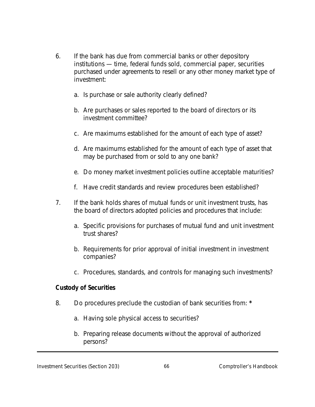- 6. If the bank has due from commercial banks or other depository institutions — time, federal funds sold, commercial paper, securities purchased under agreements to resell or any other money market type of investment:
	- a. Is purchase or sale authority clearly defined?
	- b. Are purchases or sales reported to the board of directors or its investment committee?
	- c. Are maximums established for the amount of each type of asset?
	- d. Are maximums established for the amount of each type of asset that may be purchased from or sold to any one bank?
	- e. Do money market investment policies outline acceptable maturities?
	- f. Have credit standards and review procedures been established?
- 7. If the bank holds shares of mutual funds or unit investment trusts, has the board of directors adopted policies and procedures that include:
	- a. Specific provisions for purchases of mutual fund and unit investment trust shares?
	- b. Requirements for prior approval of initial investment in investment companies?
	- c. Procedures, standards, and controls for managing such investments?

## **Custody of Securities**

- 8. Do procedures preclude the custodian of bank securities from: **\***
	- a. Having sole physical access to securities?
	- b. Preparing release documents without the approval of authorized persons?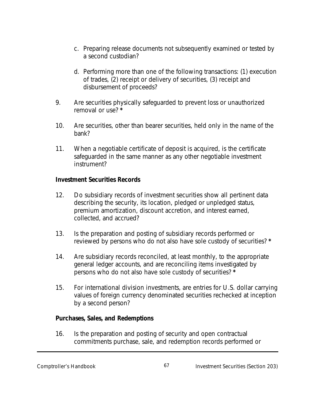- c. Preparing release documents not subsequently examined or tested by a second custodian?
- d. Performing more than one of the following transactions: (1) execution of trades, (2) receipt or delivery of securities, (3) receipt and disbursement of proceeds?
- 9. Are securities physically safeguarded to prevent loss or unauthorized removal or use? **\***
- 10. Are securities, other than bearer securities, held only in the name of the bank?
- 11. When a negotiable certificate of deposit is acquired, is the certificate safeguarded in the same manner as any other negotiable investment instrument?

#### **Investment Securities Records**

- 12. Do subsidiary records of investment securities show all pertinent data describing the security, its location, pledged or unpledged status, premium amortization, discount accretion, and interest earned, collected, and accrued?
- 13. Is the preparation and posting of subsidiary records performed or reviewed by persons who do not also have sole custody of securities? **\***
- 14. Are subsidiary records reconciled, at least monthly, to the appropriate general ledger accounts, and are reconciling items investigated by persons who do not also have sole custody of securities? **\***
- 15. For international division investments, are entries for U.S. dollar carrying values of foreign currency denominated securities rechecked at inception by a second person?

## **Purchases, Sales, and Redemptions**

16. Is the preparation and posting of security and open contractual commitments purchase, sale, and redemption records performed or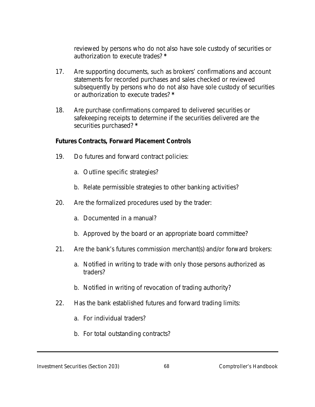reviewed by persons who do not also have sole custody of securities or authorization to execute trades? **\***

- 17. Are supporting documents, such as brokers' confirmations and account statements for recorded purchases and sales checked or reviewed subsequently by persons who do not also have sole custody of securities or authorization to execute trades? **\***
- 18. Are purchase confirmations compared to delivered securities or safekeeping receipts to determine if the securities delivered are the securities purchased? **\***

#### **Futures Contracts, Forward Placement Controls**

- 19. Do futures and forward contract policies:
	- a. Outline specific strategies?
	- b. Relate permissible strategies to other banking activities?
- 20. Are the formalized procedures used by the trader:
	- a. Documented in a manual?
	- b. Approved by the board or an appropriate board committee?
- 21. Are the bank's futures commission merchant(s) and/or forward brokers:
	- a. Notified in writing to trade with only those persons authorized as traders?
	- b. Notified in writing of revocation of trading authority?
- 22. Has the bank established futures and forward trading limits:
	- a. For individual traders?
	- b. For total outstanding contracts?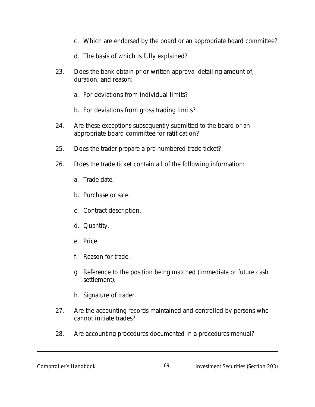- c. Which are endorsed by the board or an appropriate board committee?
- d. The basis of which is fully explained?
- 23. Does the bank obtain prior written approval detailing amount of, duration, and reason:
	- a. For deviations from individual limits?
	- b. For deviations from gross trading limits?
- 24. Are these exceptions subsequently submitted to the board or an appropriate board committee for ratification?
- 25. Does the trader prepare a pre-numbered trade ticket?
- 26. Does the trade ticket contain all of the following information:
	- a. Trade date.
	- b. Purchase or sale.
	- c. Contract description.
	- d. Quantity.
	- e. Price.
	- f. Reason for trade.
	- g. Reference to the position being matched (immediate or future cash settlement).
	- h. Signature of trader.
- 27. Are the accounting records maintained and controlled by persons who cannot initiate trades?
- 28. Are accounting procedures documented in a procedures manual?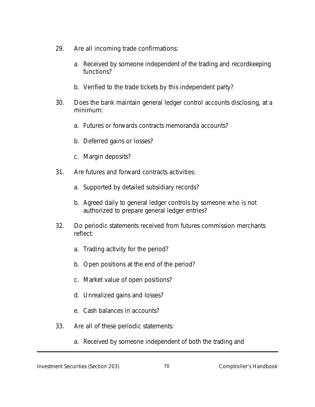- 29. Are all incoming trade confirmations:
	- a. Received by someone independent of the trading and recordkeeping functions?
	- b. Verified to the trade tickets by this independent party?
- 30. Does the bank maintain general ledger control accounts disclosing, at a minimum:
	- a. Futures or forwards contracts memoranda accounts?
	- b. Deferred gains or losses?
	- c. Margin deposits?
- 31. Are futures and forward contracts activities:
	- a. Supported by detailed subsidiary records?
	- b. Agreed daily to general ledger controls by someone who is not authorized to prepare general ledger entries?
- 32. Do periodic statements received from futures commission merchants reflect:
	- a. Trading activity for the period?
	- b. Open positions at the end of the period?
	- c. Market value of open positions?
	- d. Unrealized gains and losses?
	- e. Cash balances in accounts?
- 33. Are all of these periodic statements:
	- a. Received by someone independent of both the trading and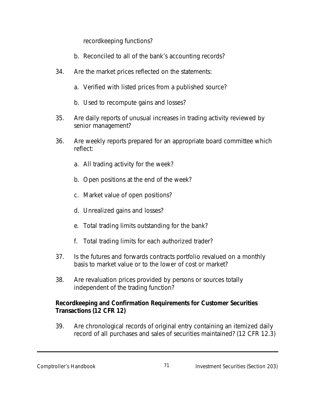recordkeeping functions?

- b. Reconciled to all of the bank's accounting records?
- 34. Are the market prices reflected on the statements:
	- a. Verified with listed prices from a published source?
	- b. Used to recompute gains and losses?
- 35. Are daily reports of unusual increases in trading activity reviewed by senior management?
- 36. Are weekly reports prepared for an appropriate board committee which reflect:
	- a. All trading activity for the week?
	- b. Open positions at the end of the week?
	- c. Market value of open positions?
	- d. Unrealized gains and losses?
	- e. Total trading limits outstanding for the bank?
	- f. Total trading limits for each authorized trader?
- 37. Is the futures and forwards contracts portfolio revalued on a monthly basis to market value or to the lower of cost or market?
- 38. Are revaluation prices provided by persons or sources totally independent of the trading function?

# **Recordkeeping and Confirmation Requirements for Customer Securities Transactions (12 CFR 12)**

39. Are chronological records of original entry containing an itemized daily record of all purchases and sales of securities maintained? (12 CFR 12.3)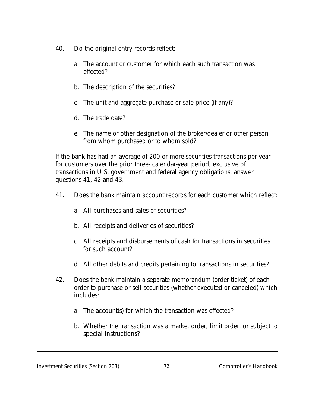- 40. Do the original entry records reflect:
	- a. The account or customer for which each such transaction was effected?
	- b. The description of the securities?
	- c. The unit and aggregate purchase or sale price (if any)?
	- d. The trade date?
	- e. The name or other designation of the broker/dealer or other person from whom purchased or to whom sold?

If the bank has had an average of 200 or more securities transactions per year for customers over the prior three- calendar-year period, exclusive of transactions in U.S. government and federal agency obligations, answer questions 41, 42 and 43.

- 41. Does the bank maintain account records for each customer which reflect:
	- a. All purchases and sales of securities?
	- b. All receipts and deliveries of securities?
	- c. All receipts and disbursements of cash for transactions in securities for such account?
	- d. All other debits and credits pertaining to transactions in securities?
- 42. Does the bank maintain a separate memorandum (order ticket) of each order to purchase or sell securities (whether executed or canceled) which includes:
	- a. The account(s) for which the transaction was effected?
	- b. Whether the transaction was a market order, limit order, or subject to special instructions?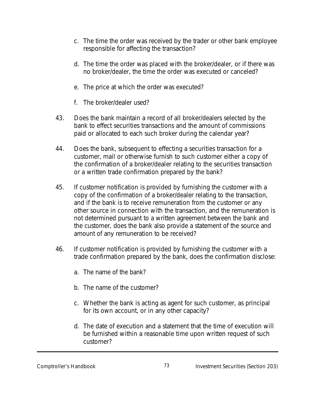- c. The time the order was received by the trader or other bank employee responsible for affecting the transaction?
- d. The time the order was placed with the broker/dealer, or if there was no broker/dealer, the time the order was executed or canceled?
- e. The price at which the order was executed?
- f. The broker/dealer used?
- 43. Does the bank maintain a record of all broker/dealers selected by the bank to effect securities transactions and the amount of commissions paid or allocated to each such broker during the calendar year?
- 44. Does the bank, subsequent to effecting a securities transaction for a customer, mail or otherwise furnish to such customer either a copy of the confirmation of a broker/dealer relating to the securities transaction or a written trade confirmation prepared by the bank?
- 45. If customer notification is provided by furnishing the customer with a copy of the confirmation of a broker/dealer relating to the transaction, and if the bank is to receive remuneration from the customer or any other source in connection with the transaction, and the remuneration is not determined pursuant to a written agreement between the bank and the customer, does the bank also provide a statement of the source and amount of any remuneration to be received?
- 46. If customer notification is provided by furnishing the customer with a trade confirmation prepared by the bank, does the confirmation disclose:
	- a. The name of the bank?
	- b. The name of the customer?
	- c. Whether the bank is acting as agent for such customer, as principal for its own account, or in any other capacity?
	- d. The date of execution and a statement that the time of execution will be furnished within a reasonable time upon written request of such customer?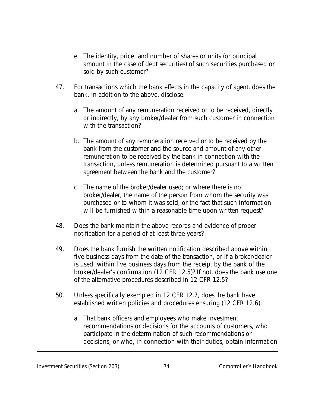- e. The identity, price, and number of shares or units (or principal amount in the case of debt securities) of such securities purchased or sold by such customer?
- 47. For transactions which the bank effects in the capacity of agent, does the bank, in addition to the above, disclose:
	- a. The amount of any remuneration received or to be received, directly or indirectly, by any broker/dealer from such customer in connection with the transaction?
	- b. The amount of any remuneration received or to be received by the bank from the customer and the source and amount of any other remuneration to be received by the bank in connection with the transaction, unless remuneration is determined pursuant to a written agreement between the bank and the customer?
	- c. The name of the broker/dealer used; or where there is no broker/dealer, the name of the person from whom the security was purchased or to whom it was sold, or the fact that such information will be furnished within a reasonable time upon written request?
- 48. Does the bank maintain the above records and evidence of proper notification for a period of at least three years?
- 49. Does the bank furnish the written notification described above within five business days from the date of the transaction, or if a broker/dealer is used, within five business days from the receipt by the bank of the broker/dealer's confirmation (12 CFR 12.5)? If not, does the bank use one of the alternative procedures described in 12 CFR 12.5?
- 50. Unless specifically exempted in 12 CFR 12.7, does the bank have established written policies and procedures ensuring (12 CFR 12.6):
	- a. That bank officers and employees who make investment recommendations or decisions for the accounts of customers, who participate in the determination of such recommendations or decisions, or who, in connection with their duties, obtain information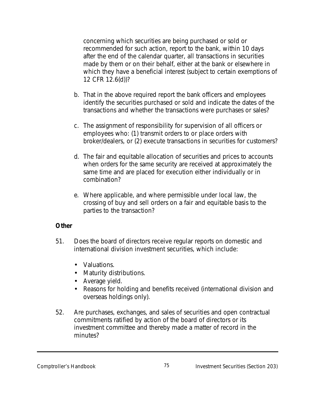concerning which securities are being purchased or sold or recommended for such action, report to the bank, within 10 days after the end of the calendar quarter, all transactions in securities made by them or on their behalf, either at the bank or elsewhere in which they have a beneficial interest (subject to certain exemptions of 12 CFR 12.6(d))?

- b. That in the above required report the bank officers and employees identify the securities purchased or sold and indicate the dates of the transactions and whether the transactions were purchases or sales?
- c. The assignment of responsibility for supervision of all officers or employees who: (1) transmit orders to or place orders with broker/dealers, or (2) execute transactions in securities for customers?
- d. The fair and equitable allocation of securities and prices to accounts when orders for the same security are received at approximately the same time and are placed for execution either individually or in combination?
- e. Where applicable, and where permissible under local law, the crossing of buy and sell orders on a fair and equitable basis to the parties to the transaction?

### **Other**

- 51. Does the board of directors receive regular reports on domestic and international division investment securities, which include:
	- Valuations.
	- Maturity distributions.
	- Average yield.
	- Reasons for holding and benefits received (international division and overseas holdings only).
- 52. Are purchases, exchanges, and sales of securities and open contractual commitments ratified by action of the board of directors or its investment committee and thereby made a matter of record in the minutes?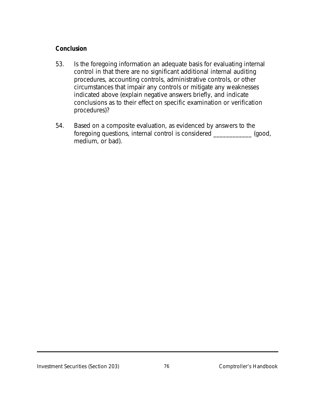## **Conclusion**

- 53. Is the foregoing information an adequate basis for evaluating internal control in that there are no significant additional internal auditing procedures, accounting controls, administrative controls, or other circumstances that impair any controls or mitigate any weaknesses indicated above (explain negative answers briefly, and indicate conclusions as to their effect on specific examination or verification procedures)?
- 54. Based on a composite evaluation, as evidenced by answers to the foregoing questions, internal control is considered \_\_\_\_\_\_\_\_\_\_\_\_ (good, medium, or bad).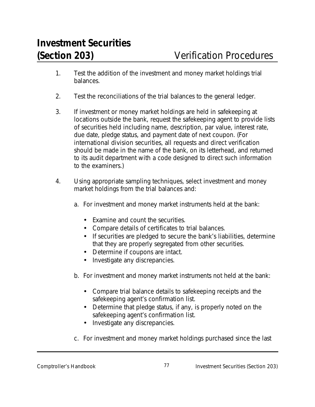- 1. Test the addition of the investment and money market holdings trial balances.
- 2. Test the reconciliations of the trial balances to the general ledger.
- 3. If investment or money market holdings are held in safekeeping at locations outside the bank, request the safekeeping agent to provide lists of securities held including name, description, par value, interest rate, due date, pledge status, and payment date of next coupon. (For international division securities, all requests and direct verification should be made in the name of the bank, on its letterhead, and returned to its audit department with a code designed to direct such information to the examiners.)
- 4. Using appropriate sampling techniques, select investment and money market holdings from the trial balances and:
	- a. For investment and money market instruments held at the bank:
		- Examine and count the securities.
		- Compare details of certificates to trial balances.
		- If securities are pledged to secure the bank's liabilities, determine that they are properly segregated from other securities.
		- Determine if coupons are intact.
		- Investigate any discrepancies.
	- b. For investment and money market instruments not held at the bank:
		- Compare trial balance details to safekeeping receipts and the safekeeping agent's confirmation list.
		- Determine that pledge status, if any, is properly noted on the safekeeping agent's confirmation list.
		- Investigate any discrepancies.
	- c. For investment and money market holdings purchased since the last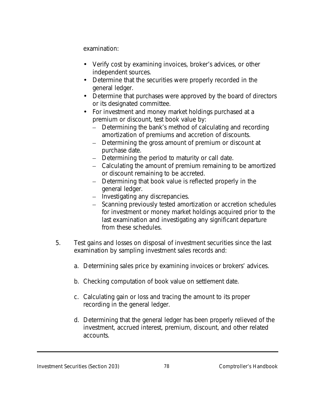examination:

- Verify cost by examining invoices, broker's advices, or other independent sources.
- Determine that the securities were properly recorded in the general ledger.
- Determine that purchases were approved by the board of directors or its designated committee.
- For investment and money market holdings purchased at a premium or discount, test book value by:
	- Determining the bank's method of calculating and recording amortization of premiums and accretion of discounts.
	- Determining the gross amount of premium or discount at purchase date.
	- Determining the period to maturity or call date.
	- Calculating the amount of premium remaining to be amortized or discount remaining to be accreted.
	- Determining that book value is reflected properly in the general ledger.
	- Investigating any discrepancies.
	- Scanning previously tested amortization or accretion schedules for investment or money market holdings acquired prior to the last examination and investigating any significant departure from these schedules.
- 5. Test gains and losses on disposal of investment securities since the last examination by sampling investment sales records and:
	- a. Determining sales price by examining invoices or brokers' advices.
	- b. Checking computation of book value on settlement date.
	- c. Calculating gain or loss and tracing the amount to its proper recording in the general ledger.
	- d. Determining that the general ledger has been properly relieved of the investment, accrued interest, premium, discount, and other related accounts.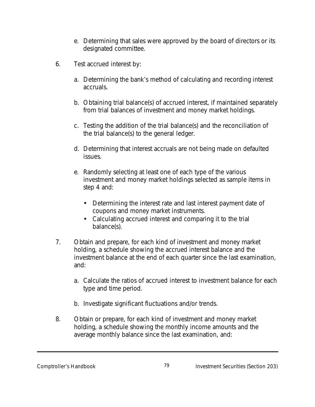- e. Determining that sales were approved by the board of directors or its designated committee.
- 6. Test accrued interest by:
	- a. Determining the bank's method of calculating and recording interest accruals.
	- b. Obtaining trial balance(s) of accrued interest, if maintained separately from trial balances of investment and money market holdings.
	- c. Testing the addition of the trial balance(s) and the reconciliation of the trial balance(s) to the general ledger.
	- d. Determining that interest accruals are not being made on defaulted issues.
	- e. Randomly selecting at least one of each type of the various investment and money market holdings selected as sample items in step 4 and:
		- Determining the interest rate and last interest payment date of coupons and money market instruments.
		- Calculating accrued interest and comparing it to the trial balance(s).
- 7. Obtain and prepare, for each kind of investment and money market holding, a schedule showing the accrued interest balance and the investment balance at the end of each quarter since the last examination, and:
	- a. Calculate the ratios of accrued interest to investment balance for each type and time period.
	- b. Investigate significant fluctuations and/or trends.
- 8. Obtain or prepare, for each kind of investment and money market holding, a schedule showing the monthly income amounts and the average monthly balance since the last examination, and: